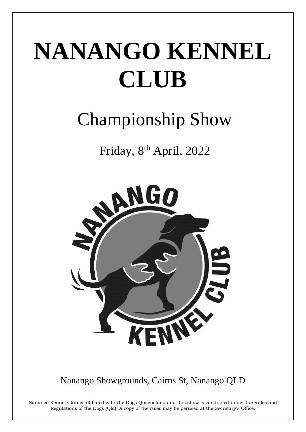# NANANGO KENNEL **CLUB**

# **Championship Show**

Friday, 8th April, 2022



Nanango Showgrounds, Cairns St, Nanango QLD

Nanango Kennel Club is affiliated with the Dogs Queensland and this show is conducted under the Rules and Regulations of the Dogs (Qld). A copy of the rules may be perused at the Secretary's Office.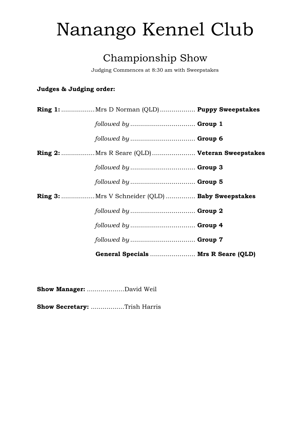# Nanango Kennel Club

# Championship Show

Judging Commences at 8:30 am with Sweepstakes

## Judges & Judging order:

| General Specials  Mrs R Seare (QLD)             |  |
|-------------------------------------------------|--|
|                                                 |  |
|                                                 |  |
| followed by  Group 2                            |  |
| Ring 3: Mrs V Schneider (QLD)  Baby Sweepstakes |  |
| followed by  Group 5                            |  |
| followed by  Group 3                            |  |
| Ring 2: Mrs R Seare (QLD) Veteran Sweepstakes   |  |
|                                                 |  |
| followed by  Group 1                            |  |
| Ring 1: Mrs D Norman (QLD) Puppy Sweepstakes    |  |

Show Manager: ....................David Weil

Show Secretary: .................Trish Harris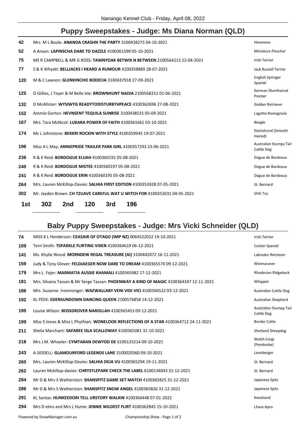# Puppy Sweepstakes - Judge: Ms Diana Norman (QLD)

| 42  | Mrs M L Boole: ANANDA CRASHN THE PARTY 3100438275 04-10-2021               | Havanese                             |
|-----|----------------------------------------------------------------------------|--------------------------------------|
| 52  | A Anson: LAPINSCHA DARE TO DAZZLE 4100361599 05-10-2021                    | Miniature Pinscher                   |
| 75  | MS R CAMPBELL & MR G ROSS: TAWNYOAK BETWIX N BETWEEN 2100564213 22-04-2021 | <b>Irish Terrier</b>                 |
| 77  | S & K Whyatt: BELLJACKS I HEARD A RUMOUR 4100358889 28-07-2021             | <b>Jack Russell Terrier</b>          |
| 120 | M & C Lawson: GLENKINCHIE BODECIA 3100437918 27-09-2021                    | English Springer<br>Spaniel          |
| 125 | O Gillies, J Toyer & M Belle Isle: BROWNHUNT NADIA 2100568251 01-06-2021   | <b>German Shorthaired</b><br>Pointer |
| 132 | D McAllister: WYSIWYG READYTODISTURBTHPEACE 4100362696 27-08-2021          | Golden Retriever                     |
| 152 | Ammie Gorton: HEVNSENT TEQUILA SUNRISE 3100438531 05-09-2021               | Lagotto Romagnolo                    |
| 167 | Mrs. Tara McNicol: LUKARA POWER OF FAITH 4100361661 03-10-2021             | Beagle                               |
| 174 | Ms L Johnstone: BEKKRI ROCKIN WITH STYLE 4100359945 19-07-2021             | Dachshund (Smooth<br>Haired)         |
| 196 | Miss A L May: ANNIEPRIDE TRAILER PARK GIRL 4100357333 23-06-2021           | Australian Stumpy Tail<br>Cattle Dog |
| 236 | R & K Reid: <b>BORDOGUE ELIJAH</b> 4100360191 05-08-2021                   | Dogue de Bordeaux                    |
| 240 | R & K Reid: <b>BORDOGUE MISTEE</b> 4100360197 05-08-2021                   | Dogue de Bordeaux                    |
| 241 | R & K Reid: <b>BORDOGUE ERIN</b> 4100360195 05-08-2021                     | Dogue de Bordeaux                    |
| 264 | Mrs. Lauren McKillop-Davies: SALHIA FIRST EDITION 4100353928 07-05-2021    | St. Bernard                          |
| 302 | Mr. Jayden Brown: CH TZUAVE CAREFUL WAT U WITCH FOR 4100353031 04-05-2021  | Shih Tzu                             |
| 1st | 302<br>120<br>3rd<br>196<br>2nd                                            |                                      |

# **Baby Puppy Sweepstakes - Judge: Mrs Vicki Schneider (QLD)**

| 74  | MISS K L Henderson: CEASAIR OF OTAGO (IMP NZ) 0064522022 19-10-2021                   | Irish Terrier                        |
|-----|---------------------------------------------------------------------------------------|--------------------------------------|
| 109 | Terri Smith: TSPARKLE FLIRTING VIXEN 4100364619 06-12-2021                            | Cocker Spaniel                       |
| 141 | Ms. Khylie Wood: MORNDEW REGAL TREASURE (AI) 3100442072 16-11-2021                    | Labrador Retriever                   |
| 159 | Judy & Tony Glover: FELDJAEGER NOW DARE TO DREAM 4100365570 09-12-2021                | Weimaraner                           |
| 179 | Mrs L. Fejer: MARMATIA AUSSIE KHAMALI 4100365982 17-12-2021                           | Rhodesian Ridgeback                  |
| 181 | Mrs. Silvana Tassan & Mr Serge Tassan: PHOENWAY A KIND OF MAGIC 4100364347 12-11-2021 | Whippet                              |
| 186 | Mrs. Suzanne Ironmonger: WAZWALLABY VENI VIDI VICI 4100366522 03-12-2021              | <b>Australian Cattle Dog</b>         |
| 192 | KL PEEK: EDENSUNDOWN DANCING QUEEN 2100576858 14-12-2021                              | Australian Shepherd                  |
| 195 | Louise Wilson: BOSSDROVER NAROLLAH 4100365453 09-12-2021                              | Australian Stumpy Tail<br>Cattle Dog |
| 199 | Miss S Jones & Miss L Phythian: WONELOOK REFLECTIONS OF A STAR 4100364712 24-11-2021  | <b>Border Collie</b>                 |
| 211 | Sheila Marchant: SAFAREE ISLA SCALLOWAY 4100365081 31-10-2021                         | <b>Shetland Sheepdog</b>             |
| 218 | Mrs J.M. Wheeler: CYMTARAN DEWYDD DE 6100133214 09-10-2021                            | Welsh Corgi<br>(Pembroke)            |
| 243 | A SIDDELL: GLAMOURFORD LEGENDS LANE 3100020360 09-10-2021                             | Leonberger                           |
| 260 | Mrs. Lauren McKillop-Davies: SALHIA DEJA VU 4100365294 19-11-2021                     | St. Bernard                          |
| 262 | Lauren Mckillop-davies: CHRYSTLEPARK CHECK THE LABEL 6100134043 31-12-2021            | St. Bernard                          |
| 284 | Mr D & Mrs S Watherston: SHANSPITZ GAME SET MATCH 4100365825 31-12-2021               | Japanese Spitz                       |
| 286 | Mr D & Mrs S Watherston: SHANSPITZ SNOW ANGEL 4100365826 31-12-2021                   | Japanese Spitz                       |
| 291 | KL Santas: HUNKEEDORI TELL URSTORY WALKIN 4100366448 07-01-2022                       | Keeshond                             |
| 294 | Mrs D elms and Mrs L Hume: JENNIE WILDEST FLIRT 4100362845 15-10-2021                 | Lhasa Apso                           |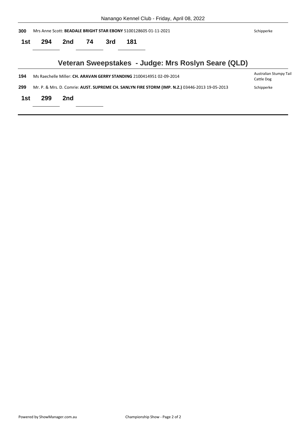| Nanango Kennel Club - Friday, April 08, 2022 |  |  |  |
|----------------------------------------------|--|--|--|
|                                              |  |  |  |

| 300 |     |     |    |     |     | Mrs Anne Scott: <b>BEADALE BRIGHT STAR EBONY</b> 5100128605 01-11-2021                         | Schipperke                           |
|-----|-----|-----|----|-----|-----|------------------------------------------------------------------------------------------------|--------------------------------------|
| 1st | 294 | 2nd | 74 | 3rd | 181 |                                                                                                |                                      |
|     |     |     |    |     |     | Veteran Sweepstakes - Judge: Mrs Roslyn Seare (QLD)                                            |                                      |
| 194 |     |     |    |     |     | Ms Raechelle Miller: CH. ARAVAN GERRY STANDING 2100414951 02-09-2014                           | Australian Stumpy Tail<br>Cattle Dog |
| 299 |     |     |    |     |     | Mr. P. & Mrs. D. Comrie: AUST. SUPREME CH. SANLYN FIRE STORM (IMP. N.Z.) 03446-2013 19-05-2013 | Schipperke                           |
| 1st | 299 | 2nd |    |     |     |                                                                                                |                                      |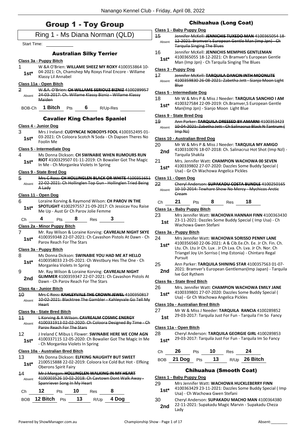## Group 1 - Toy Group

|                    |                                                                                                                                                   | ء<br>4                       |
|--------------------|---------------------------------------------------------------------------------------------------------------------------------------------------|------------------------------|
|                    | Ring 1 - Ms Diana Norman (QLD)                                                                                                                    |                              |
| <b>Start Time:</b> |                                                                                                                                                   |                              |
|                    | <b>Australian Silky Terrier</b>                                                                                                                   | 1                            |
| 1                  | Class 3a - Puppy Bitch<br>W &A O'Brien: WILLAME SHEEZ MY ROXY 4100353864 10-                                                                      |                              |
| $1st*$             | 04-2021: Ch, Chamshep My Roxys Final Encore - Willame<br>Klassy Lil Annabel                                                                       | $\mathsf{C}$<br>4            |
|                    | Class 11a - Open Bitch                                                                                                                            |                              |
| 2<br>Absent        | W.&A. O'Brien: CH WILLAME SERIOUZ BIZNIZ 4100289957<br>24-03-2017: Ch. Willame Klassy Bizniz - Willame Klassy<br><b>Maiden</b>                    | $\mathsf C$<br>1             |
| BOB-Ch             | 1 Bitch<br>6<br>Pts<br>R/Up-Res                                                                                                                   |                              |
|                    | <b>Cavalier King Charles Spaniel</b>                                                                                                              | $\mathsf{C}$<br>4            |
|                    | Class 4 - Junior Dog                                                                                                                              |                              |
| 3<br>$1st*$        | Mrs J Ireland: CUDYNCAE NOBODYS FOOL 4100352495 01-<br>03-2021: Ch Coloora Scotch N Soda - Ch Dapsen Theres No<br>Foolin Me                       | $\mathsf{C}$<br>2            |
|                    | Class 5 - Intermediate Dog                                                                                                                        |                              |
| 4<br>$1st^*$       | Ms Donna Dickson: CH SWINABIE WHEN RUMOURS RUN<br>RIOT 4100329507 01-11-2019: Ch Bowalier Got The Magic<br>In Me - Ch Morganlea Violets In Spring | 2                            |
|                    | <u>Class 9 - State Bred Dog</u>                                                                                                                   |                              |
| 5<br>Absent        | Mrs C Ross: CH HOLLINGLEN BLACK OR WHITE 4100351651<br>22 02 2021: Ch Hollinglen Top Gun Hollinglen Tried Being<br>A Lady                         | $\overline{\mathsf{C}}$<br>2 |
|                    | Class 11 - Open Dog                                                                                                                               |                              |
| 6                  | Loraine Korving & Raymond Wilson: CH PAROV IN THE<br>SPOTLIGHT 4100297557 21-09-2017: Ch Jessicav You Raise                                       |                              |
| $1st*$             |                                                                                                                                                   | $\overline{\mathsf{C}}$      |
|                    | Me Up - Aust Gr Ch Parov Jolie Femme                                                                                                              |                              |
| Ch                 | 4<br>8<br>$\boldsymbol{3}$<br>Res<br>Pts                                                                                                          | 2                            |
|                    | Class 2a - Minor Puppy Bitch                                                                                                                      |                              |
| 7<br>$1st*$        | Mr. Ray Wilson & Loraine Korving: CAVREALM NIGHT SKYE<br>4100359348 22-07-2021: Ch Cavashon Pistols At Dawn - Ch<br>Parov Reach For The Stars     | $\overline{\mathsf{C}}$<br>2 |
|                    | Class 3a - Puppy Bitch                                                                                                                            |                              |
| 8.<br>$1st*$       | Ms Donna Dickson: SWINABIE YOU HAD ME AT HELLO<br>4100358033 23-05-2021: Ch Westbury Hes The One - Ch<br>Morganlea Violets In Spring              | 2                            |
| 9                  | Mr. Ray Wilson & Loraine Korving: CAVREALM NIGHT                                                                                                  |                              |
| 2nd                | <b>GLIMMER 4100359347 22-07-2021: Ch Cavashon Pistols At</b><br>Dawn - Ch Parov Reach For The Stars                                               |                              |
|                    | Class 4a - Junior Bitch                                                                                                                           | C<br>2                       |
| 10                 | Mrs C Ross: KAHLEYVALE THE CROWN JEWEL 4100350817                                                                                                 |                              |
| Absent             | 10 02 2021: Blacktree The Gambler Kahleyvale Go Tell My<br><b>Heart</b>                                                                           | $\mathsf{C}$                 |
|                    | Class 9a - State Bred Bitch                                                                                                                       | 2                            |
| 11<br>Absent       | <b>L Korving &amp; R Wilson: CAVREALM COSMIC ENERGY</b><br>4100331913 02 02 2020: Ch Coloora Designed By Time Ch<br>Parov Reach For The Stars     | C                            |
| 12<br>$1st*$       | J Ireland C Mibus L Flower: SWINABIE HERE WE COM AGN<br>4100337115 12-05-2020: Ch Bowalier Got The Magic In Me                                    | 2                            |
|                    | - Ch Morganlea Violets In Spring<br>Class 10a - Australian Bred Bitch                                                                             |                              |
| 13                 | Ms Donna Dickson: ELFKING NAUGHTY BUT SWEET                                                                                                       |                              |
| 1st*               | 2100515888 22-02-2019: Coloora Ice Cold But Hot - Elfking<br><b>Oberons Spirit Fairy</b>                                                          |                              |
| 14<br>Absent       | Mr J Morgan: HOLLINGLEN WALKING IN MY HEART<br>4100303526 10-02-2018: Ch Cavtown Dont Walk Away -                                                 | <u>c</u>                     |
| Сh                 | Spanriever Song In My Heart<br>12<br>10<br>8<br><b>Pts</b><br>Res                                                                                 | 2                            |

#### Chihuahua (Long Coat) **Class 1 - Baby Puppy Dog** 15 Jennifer McKell: **JENNICHIS TUXEDO MAN** 4100365054 18- 12-2021: Bramver's European Gentle Man (Imp Jpn) - Ch Tarquila Singing The Blues Absent 16 Jennifer McKell: **JENNICHIS MEMPHIS GENTLEMAN** 4100365055 18-12-2021: Ch Bramver's European Gentle Man (Imp Jpn) - Ch Tarquila Singing The Blues **1st\* Class 3 - Puppy Dog** 17 Jennifer McKell: **TARQUILA DANCIN INTH MOONLITE** 4100359830 26-08-2021: Zabetha Jett - Sianjo Moon Light Blue Absent **Class 5 - Intermediate Dog** 18 Mr W & Mrs P & Miss J Needer: **TARQUILA SANCHIO I AM** 4100327584 22-09-2019: Ch.Bramver,S European Gentle Man(Imp Jpn) - Sianjo Moon Light Blue **1st\* Class 9 - State Bred Dog** 19 Ann Parker: **TARQUILA DRESSED BY AMARNI** 4100353423 10-04-2021: Zabetha Jett - Ch Salinacruz Black N Tantrum ( Imp Nz) Absent **Class 10 - Australian Bred Dog** 20 Mr W & Mrs P & Miss J Needer: **TARQUILA MY AMIGO** 4100310076 18-07-2018: Ch. Salinacruz Hot Shot (Imp Nzl) - Tarquila Shakila **2nd** 21 Mrs. Jennifer Watt: **CHAMPION WACHOWA 00 SEVEN** 4100339802 27-07-2020: Dazzles Some Buddy Special ( 1st\* 4100339802 27-07-2020: Dazzles Some<br>Usa) - Gr Ch Wachowa Angelica Pickles **Class 11 - Open Dog** 22 Cheryl Anderson: **SUPAKADU COSTA BUNDLE** 4100250165 10-10-2014: Tewhare Show No Mercy - Mychicos Arctic Cream Absent Ch **21** Pts **8** Res **18 Class 1a - Baby Puppy Bitch** 23 Mrs Jennifer Watt: **WACHOWA HANNAH FINN** 4100363430 23-11-2021: Dazzles Some Buddy Special ( Imp Usa) - Ch Wachowa Gwen Stefani **1st Class 3a - Puppy Bitch** 24 Mrs Jennifer Watt: **WACHOWA SORISSO PENNY LANE** 4100356560 22-06-2021: A & Cib.Ee.Ch. Ee. Jr Ch. Fin. Ch. **1st\***

- Ltu. Ch. Ltu Jr Ch. Lux . Jr Ch Lva. Ch. Lva. Jr Ch. Nor. Ch
- Triangel Joy Un Sorriso ( Imp Estonia) Chintaro Regal Pursuit
- 25 Ann Parker: **TARQUILA SHINING STAR** 4100357563 01-07-
- 2021: Bramver's European Gentleman(Imp Japan) Tarquila **2nd** <sup>2021: Bramver</sup>

#### **Class 9a - State Bred Bitch**

- 26 Mrs. Jennifer Watt: **CHAMPION WACHOWA EMILY JANE**
- 4100339801 27-07-2020: Dazzles Some Buddy Special ( **1st**\* 4100339801 27-07-2020: Dazzles Some<br>Usa) - Gr Ch Wachowa Angelica Pickles

#### **Class 10a - Australian Bred Bitch**

- 27 Mr W & Miss J Needer: **TARQUILA RANCIA** 4100289852
- 29-03-2017: Tarquila Just For Fun Tarquila I'm So Fancy **1st**

#### **Class 11a - Open Bitch**

#### 28 Cheryl Anderson: **TARQUILA GEORGIE GIRL** 4100289853 29-03-2017: Tarquila Just For Fun - Tarquila Im So Fancy **1st\***

- Ch **26** Pts **10** Res **24**
- BOB **21 Dog** Pts **13** R/Up **26 Bitch**

## Chihuahua (Smooth Coat)

## **Class 1 - Baby Puppy Dog**

- 29 Mrs Jennifer Watt: **WACHOWA HUCKLEBERRY FINN** 4100363429 23-11-2021: Dazzles Some Buddy Special ( Imp Usa) - Ch Wachowa Gwen Stefani **1st\*** 30 Cheryl Anderson: **SUPAKADU MACHO MAN** 4100364380
	- 22-11-2021: Supakadu Magic Marvin Supakadu Cheza **2nd**  $\frac{22-1}{\text{Ladv}}$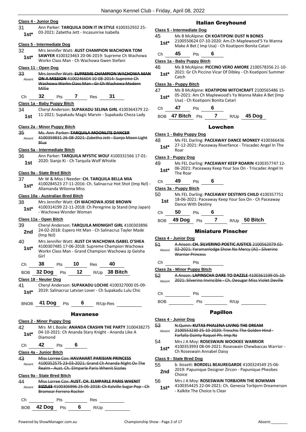#### **Class 4 - Junior Dog**

31 Ann Parker: **TARQUILA DOIN IT IN STYLE** 4100352932 25- 03-2021: Zabetha Jett - Incasunrise Isabella **1st\***

#### **Class 5 - Intermediate Dog**

32 Mrs Jennifer Watt: **AUST CHAMPION WACHOWA TOM SAWYER** 4100323463 20-06-2019: Supreme Ch Wachowa Workn Class Man - Ch Wachowa Gwen Stefani **1st\***

#### **Class 11 - Open Dog**

- 33 Mrs Jennifer Watt: **SUPREME CHAMPION WACHOWA MAN ON A MISSION** 4100246604 10-08-2014: Supreme Ch Wachowa Workn Class Man - Gr Ch Wachowa Modern Millie Absent
- Ch **32** Pts **7** Res **31**

#### **Class 1a - Baby Puppy Bitch**

34 Cheryl Anderson: **SUPAKADU SELINA GIRL** 4100364379 22- 11-2021: Supakadu Magic Marvin - Supakadu Cheza Lady **1st**

#### **Class 2a - Minor Puppy Bitch**

#### 35 Ms. Ann Parker: **TARQUILA MOONLITE DANCER**

4100359831 26-08-2021: Zabetha Jett - Sianjo Moon Light Blue Absent

#### **Class 5a - Intermediate Bitch**

36 Ann Parker: **TARQUILA MYSTIC WOLF** 4100331566 17-01-

#### **Class 9a - State Bred Bitch**

- 37 Mr W & Miss J Needer: **CH. TARQUILA BELLA MIA**
- 

#### **Class 10a - Australian Bred Bitch**

38 Mrs Jennifer Watt: **CH WACHOWA JOSIE BROWN**

#### **Class 11a - Open Bitch**

39 Cheryl Anderson: **TARQUILA MIDNIGHT GIRL** 4100303896 24-02-2018: Espero Hit Man - Ch Salinacruz Tayler Made **2nd**  $\frac{24-02-20}{\text{(Imp Nz!)}}$ 40 Mrs Jennifer Watt: **AUST CH WACHOWA ISABEL O'SHEA** 4100307485 17-06-2018: Supreme Champion Wachowa Workn Class Man - Grand Champion Wachowa Jp Geisha Girl **1st\*** Ch **38** Pts **10** Res **40** BOB **32 Dog** Pts **12** R/Up **38 Bitch Class 18 - Neuter Dog** 41 Cheryl Anderson: **SUPAKADU LOCHIE** 4100327000 05-09- 2019: Salinacruz Latvian Lover - Ch Supakadu Lulu Chic **1st\*** BNOB **41 Dog** Pts **6** R/Up-Res

#### Havanese

**Class 2 - Minor Puppy Dog** 42 Mrs M L Boole: **ANANDA CRASHN THE PARTY** 3100438275 04-10-2021: Ch Ananda Stary Knight - Ananda Like A Diamond **1st\*** Ch **42** Pts **6 Class 4a - Junior Bitch** 43 Miss Lorree Cox: **HAVAHART PARISIAN PRINCESS** 4100352575 23-03-2021: Grand Ch Ananda Night Ov The Realm - Aust. Ch. Elmparle Paris Whenit Sizzles Absent **Class 9a - State Bred Bitch** 44 Miss Lorree Cox: **AUST. CH. ELMPARLE PARIS WHENIT SIZZLES** 4100306996 25-05-2018: Ch Kalville Sugar Pop - Ch Bromear Ferrero Rocher Absent Ch Pts Res

# **Class 1 - Baby Puppy Dog**

# **Class 3 - Puppy Dog**

- 1st 2020: Sianjo Ki Ch Tarquila Wolf Whistle
	-
- 4100284523 27-11-2016: Ch. Salinacruz Hot Shot (Imp Nzl) Allamanda Wilonna Miss **1st\***

4100314199 22-11-2018: Ch Peregrine Jp Stand (Imp Japan) - Wachowa Wonder Woman **1st\***

## Italian Greyhound

#### **Class 5 - Intermediate Dog**

45 Ms B McAlpine: **CH KOATIPONI DUST N BONES** 2100550624 07-10-2020: Am.Ch Maplewood'S Ya Wanna Make A Bet ( Imp Usa) - Ch Koatiponi Bonita Catari **1st\***

#### Ch **45** Pts **6**

#### **Class 1a - Baby Puppy Bitch**

- 46 Ms B McAlpine: **PICCINO VERO AMORE** 2100578356 21-10-
	- 2021: Gr Ch Piccino Vicar Of Dibley Ch Koatiponi Summer  $1$ **st**\*  $\frac{2021}{\text{Carth}}$

#### **Class 3a - Puppy Bitch**

#### 47 Ms B McAlpine: **KOATIPONI WITCHCRAFT** 2100565486 15- 05-2021: Am Ch Maplewood's Ya Wanna Make A Bet (Imp Usa) - Ch Koatiponi Bonita Catari **1st\***

- Ch **47** Pts **6**
- BOB **47 Bitch** Pts **7** R/Up **45 Dog**

#### Lowchen

- 48 Ms FEL Darling: **PACEAWAY DANCE MONKEY** 4100366436
	- 27-12-2021: Paceaway Riverfance Triscadec Angel In The Roar **1st\***

49 Ms FEL Darling: **PACEAWAY KEEP ROARIN** 4100357747 12- 06-2021: Paceaway Keep Your Sox On - Triscadec Angel In **1st**\* U<sup>b-2021</sup>

#### Ch **49** Pts **6**

#### **Class 3a - Puppy Bitch**

- 50 Ms FEL Darling: **PACEAWAY DESTINYS CHILD** 4100357751 18-06-2021: Paceaway Keep Your Sox On - Ch Paceaway **1st** Lo-VO-2021. Paceav<br>Dance With Destiny
- Ch **50** Pts **6**
- BOB **49 Dog** Pts **7** R/Up **50 Bitch**

#### Miniature Pinscher

#### **Class 4 - Junior Dog** 51 A Anson: **CH. SILVERINO POETIC JUSTICE** 2100562079 02- 02-2021: Yaramanlodge Show No Mercy (Ai) - Silverino Warrior Princess Absent Ch Pts **Class 2a - Minor Puppy Bitch** 52 A Anson: **LAPINSCHA DARE TO DAZZLE** 4100361599 05-10- Absent 2021: Silverino Invincible - Ch. Desugar Miss Violet Deville Ch Pts

#### Papillon

|              | Class 4 - Junior Dog                                                                                                              |
|--------------|-----------------------------------------------------------------------------------------------------------------------------------|
| 53<br>Absent | N.Quinn: KUTAS PHALENA LIVING THE DREAM<br>2100553230 25-10-2020: Treschic The Golden Hind -<br>Farfalla Dainty Raguel Ph. Imp.Nz |
| 54<br>$1st*$ | Mrs J A Moy: ROSESWAIN WOOKIEE WARRIOR<br>4100353993 08-04-2021: Roseswain Chewbaccas Warrior -<br>Ch Roseswain Annabel Daisy     |
|              | Class 9 - State Bred Dog                                                                                                          |
| 55<br>2nd    | b. bissett: <b>BORDELL BEAUREGARDE</b> 4100324549 25-06-<br>2019: Papunique Designer Zircon - Papunique Pheobes<br>Choice         |
| 56           | Mrs J A Moy: ROSESWAIN TORBJORN THE BOWMAN                                                                                        |

4100354425 22-04-2021: Ch. Genesia Torbjorn Dreamerson 1st<sup>\*</sup> 4100354425 22-04-2021: C<br>Kalkite The Choice Is Clear

BOB **42 Dog** Pts **6** R/Up

BOB Pts R/Up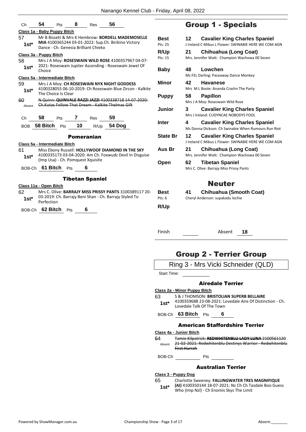| Ch                                  | 54                  | Pts                                                                     | 8        | Res                                  | 56                                                                                                               |                 |  |  |  |
|-------------------------------------|---------------------|-------------------------------------------------------------------------|----------|--------------------------------------|------------------------------------------------------------------------------------------------------------------|-----------------|--|--|--|
| Class 1a - Baby Puppy Bitch         |                     |                                                                         |          |                                      |                                                                                                                  |                 |  |  |  |
| 57                                  |                     | Mr B Bissett & Mrs K Hembrow: <b>BORDELL MADEMOSELLE</b><br><b>Best</b> |          |                                      |                                                                                                                  |                 |  |  |  |
| $1st^*$                             |                     |                                                                         |          | Dance - Ch. Genesia Brilliant Chieko | MIA 4100365244 03-01-2022: Sup.Ch. Birikino Victory                                                              | Pts: 25         |  |  |  |
|                                     |                     |                                                                         |          |                                      |                                                                                                                  | R/Up            |  |  |  |
| Class 3a - Puppy Bitch              |                     |                                                                         |          |                                      |                                                                                                                  | Pts: 15         |  |  |  |
| 58                                  |                     |                                                                         |          |                                      | Mrs J A Moy: ROSESWAIN WILD ROSE 4100357967 04-07-<br>2021: Roseswain Jupiter Ascending - Roseswain Jewel Of     |                 |  |  |  |
| $1st*$                              | Choice              |                                                                         |          |                                      |                                                                                                                  | <b>Baby</b>     |  |  |  |
| Class 5a - Intermediate Bitch       |                     |                                                                         |          |                                      |                                                                                                                  |                 |  |  |  |
| 59                                  |                     |                                                                         |          |                                      | Mrs J A Moy: CH ROSESWAIN NYX NIGHT GODDESS                                                                      | <b>Minor</b>    |  |  |  |
| $1st*$                              |                     | The Choice Is Clear                                                     |          |                                      | 4100328055 06-10-2019: Ch Roseswain Blue Zircon - Kalkite                                                        |                 |  |  |  |
| 60                                  |                     |                                                                         |          |                                      | N.Quinn: QUINVALE RAZZI JAZZI 4100338718 14-07-2020:                                                             | <b>Puppy</b>    |  |  |  |
| Absent                              |                     |                                                                         |          |                                      | Ch. Kutas Follow That Dream Kalkite Thelmas Gift                                                                 |                 |  |  |  |
|                                     |                     |                                                                         |          |                                      |                                                                                                                  | Junior          |  |  |  |
| Ch                                  | 58.                 | Pts                                                                     | <b>7</b> | Res                                  | 59                                                                                                               |                 |  |  |  |
| <b>BOB</b>                          | 58 Bitch $P$ ts     |                                                                         | 10       | R/Up                                 | 54 Dog                                                                                                           | Inter           |  |  |  |
|                                     |                     |                                                                         |          | <b>Pomeranian</b>                    |                                                                                                                  | <b>State Br</b> |  |  |  |
|                                     |                     |                                                                         |          |                                      |                                                                                                                  |                 |  |  |  |
| Class 5a - Intermediate Bitch<br>61 |                     |                                                                         |          |                                      | Miss Ebony Russell: HOLLYWOOF DIAMOND IN THE SKY                                                                 | Aus Br          |  |  |  |
| $1st^*$                             |                     |                                                                         |          |                                      | 4100335173 03-04-2020: Am Ch. Foxwudz Devil In Disguise                                                          |                 |  |  |  |
|                                     |                     |                                                                         |          | (Imp Usa) - Ch. Pomquest Xquisite    |                                                                                                                  | Open            |  |  |  |
|                                     | BOB-Ch 61 Bitch Pts |                                                                         |          | 6                                    |                                                                                                                  |                 |  |  |  |
|                                     |                     |                                                                         |          |                                      |                                                                                                                  |                 |  |  |  |
|                                     |                     |                                                                         |          | <b>Tibetan Spaniel</b>               |                                                                                                                  |                 |  |  |  |
| Class 11a - Open Bitch              |                     |                                                                         |          |                                      |                                                                                                                  |                 |  |  |  |
| 62                                  |                     |                                                                         |          |                                      | Mrs C. Olive: BARRAJY MISS PRISSY PANTS 3100389117 20-<br>03-2019: Ch. Barrajy Beni Shan - Ch. Barrajy Styled To | Best<br>Pts: 6  |  |  |  |
| $1st^*$                             | Perfection          |                                                                         |          |                                      |                                                                                                                  |                 |  |  |  |
| BOB-Ch                              | 62 Bitch            | Pts                                                                     |          | 6                                    |                                                                                                                  | R/Up            |  |  |  |
|                                     |                     |                                                                         |          |                                      |                                                                                                                  |                 |  |  |  |

# Group 1 - Specials

| Best<br>Pts: 25         | <b>Cavalier King Charles Spaniel</b><br>12<br>J Ireland C Mibus L Flower: SWINABIE HERE WE COM AGN              |  |
|-------------------------|-----------------------------------------------------------------------------------------------------------------|--|
| R/Up<br>Pts: 15         | <b>Chihuahua (Long Coat)</b><br>21<br>Mrs. Jennifer Watt: Champion Wachowa 00 Seven                             |  |
| Baby                    | Lowchen<br>48 —<br>Ms FEL Darling: Paceaway Dance Monkey                                                        |  |
| Minor                   | 42<br><b>Havanese</b><br>Mrs M L Boole: Ananda Crashn The Party                                                 |  |
| <b>Puppy</b>            | 58 Papillon<br>Mrs J A Moy: Roseswain Wild Rose                                                                 |  |
| Junior                  | 3<br><b>Cavalier King Charles Spaniel</b><br>Mrs J Ireland: CUDYNCAE NOBODYS FOOL                               |  |
| Inter                   | <b>Cavalier King Charles Spaniel</b><br>4<br>Ms Donna Dickson: Ch Swinabie When Rumours Run Riot                |  |
| <b>State Br</b>         | 12 <sup>1</sup><br><b>Cavalier King Charles Spaniel</b><br>J Ireland C Mibus L Flower: SWINABIE HERE WE COM AGN |  |
| Aus Br                  | <b>Chihuahua (Long Coat)</b><br>21<br>Mrs. Jennifer Watt: Champion Wachowa 00 Seven                             |  |
| Open                    | 62 -<br><b>Tibetan Spaniel</b><br>Mrs C. Olive: Barrajy Miss Prissy Pants                                       |  |
|                         | <b>Neuter</b>                                                                                                   |  |
| <b>Best</b><br>Pts: $6$ | Chihuahua (Smooth Coat)<br>41<br>Cheryl Anderson: supakadu lochie                                               |  |

Finish Absent **18**

# Group 2 - Terrier Group



**Class 4a - Junior Bitch**

64 Tamie Kilpatrick: **REDWHITENBLU LADY LUNA** 2100561120 21-02-2021: Redwhitenblu Destinys Warrior - Redwhitenblu First Hurrah Absent

BOB-Ch Pts

#### Australian Terrier

#### **Class 3 - Puppy Dog**

- 65 Charlotte Sweeney: **FALLINGWATER TRES MAGNIFIQUE** 
	- **(AI)** 4100350144 18-07-2021: Nz Ch Ch Tasdale Boo Guess **1st\* (AI)** 4100350144 18-07-2021: Nz Ch Ch Ta<br>Who (Imp Nzl) - Ch Enomis Skys The Limit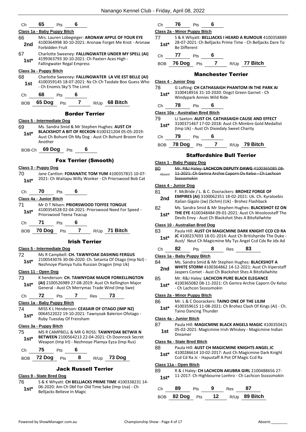| Сh | 65 | ∽rs | £ |
|----|----|-----|---|
|    |    |     |   |

#### **Class 1a - Baby Puppy Bitch**

- 66 Mrs. Lauren Lobegeiger: **ARONAW APPLE OF YOUR EYE** 4100364998 30-10-2021: Aronaw Forget Me Knot - Aronaw Forbidden Fruit **2nd**
- 67 Charlotte Sweeney: **FALLINGWATER UNDER MY SPELL (AI)** 4199363793 30-10-2021: Ch Paxterr Aces High - Fallingwater Regal Empress **1st\***

#### **Class 3a - Puppy Bitch**

- 68 Charlotte Sweeney: **FALLINGWATER LA VIE EST BELLE (AI)** 4100359145 18-07-2021: Nz Ch Ch Tasdale Boo Guess Who **1st** 4100359145 18-07-2021: N<br>Ch Enomis Sky'S The Limit
- Ch **68** Pts **6**

BOB **65 Dog** Pts **7** R/Up **68 Bitch**

#### Border Terrier

#### **Class 5 - Intermediate Dog**

- 69 Ms. Sandra Smid & Mr Stephen Hughes: **AUST CH BLACKSHOT A BIT OF RECKON** 4100321204 05-05-2019: Aust Ch Bohunt Oh My Dog - Aust Ch Bohunt Broom For Another **1st\***
- BOB-Ch **69 Dog** Pts **6**

#### Fox Terrier (Smooth)

#### **Class 3 - Puppy Dog**

70 Jane Cantlon: **FOXANATIC TOM YUM** 4100357815 10-07- 2021: Ch Waitapu Willy Wonker - Ch Priorswood Bob Cat **1st\***

#### Ch **70** Pts **6**

#### **Class 4a - Junior Bitch**

- 71 Mr D T Nilsen: **PRIORSWOOD TOFFEE TONGUE** 4100354528 02-04-2021: Priorswood Need For Speed - Priorswood Teena Teacup **1st\***
- Ch **71** Pts **6**
- BOB **70 Dog** Pts **7** R/Up **71 Bitch**

#### Irish Terrier

#### **Class 5 - Intermediate Dog**

72 Ms R Campbell: **CH. TAWNYOAK DASHING FERGUS** 2100543076 30-06-2020: Ch. Setanta Of Otago (Imp Nzl) - Nezhnoye Plamya Yulia Russian Dragon (Imp Uk) **1st\***

#### **Class 11 - Open Dog**

73 K henderson: **CH. TAWNYOAK MAJOR FORKELLINGTON (AI)** 2100526989 27-08-2019: Aust Ch Kellington Major General - Aust Ch Merrymac Trade Wind (Imp Swe) **1st\***

## Ch **72** Pts **7** Res **73**

#### **Class 1a - Baby Puppy Bitch**

74 MISS K L Henderson: **CEASAIR OF OTAGO (IMP NZ)** 0064522022 19-10-2021: Tawnyoak Balerion Ofotago - Ruby Tuesday Of Frensham **1st\***

#### **Class 3a - Puppy Bitch**

75 MS R CAMPBELL & MR G ROSS: **TAWNYOAK BETWIX N BETWEEN** 2100564213 22-04-2021: Ch Doonrock Secret **1st\* DETWEEN ZIUUSD4ZIS ZZ-U4-ZUZI: CH DOONFOCK Sext-**<br>Weapon (Imp Irl) - Nezhnoye Plamya Eyza (Imp Rus)

| Ch 75 Pts 6 |  |                              |
|-------------|--|------------------------------|
|             |  | BOB 72 Dog Pts 8 R/Up 73 Dog |

#### Jack Russell Terrier

#### **Class 9 - State Bred Dog**

76 S & K Whyatt: **CH BELLJACKS PRIME TIME** 4100338231 14- 06-2020: Am Ch Dbf For Old Time Sake (Imp Usa) - Ch **1st**\* Ub-2020: Am Ch Dbt For C<br>Belljacks Believe In Magic

Ch **76** Pts **6 Class 2a - Minor Puppy Bitch**

77 S & K Whyatt: **BELLJACKS I HEARD A RUMOUR** 4100358889 28-07-2021: Ch Belljacks Prime Time - Ch Belljacks Dare To 1st<sup>\*</sup> <sup>28-07-2021:</sup><br>Be Different

Ch **77** Pts **6**

BOB **76 Dog** Pts **7** R/Up **77 Bitch**

#### Manchester Terrier

#### **Class 4 - Junior Dog**

- 78 G Lofting: **CH CATHASAIGH PHANTOM IN THE PARK AI** 3100418916 31-10-2020: Dogct Green Garnet - Ch Windypark Annies Wild Ride **1st\***
- Ch **78** Pts **6**

#### **Class 10a - Australian Bred Bitch**

- 79 LJ Saxton: **AUST CH. CATHASAIGH CAUSE AND EFFECT**
- 3100371467 17-02-2018: Aust Ch Mimbre Gold Medallist (Imp Uk) - Aust Ch Dixiedaly Sweet Charity **1st\***
- Ch **79** Pts **6**
- BOB **78 Dog** Pts **7** R/Up **79 Bitch**

#### Staffordshire Bull Terrier

#### **Class 1 - Baby Puppy Dog**

80 Mr. R&J Haley: **LACHCON DEPUTY DAWG** 4100365085 08- 11-2021: Ch Gemra Archie Caporn Ov Kelso - Ch Lachcon **Ssssssmokin** Absent

#### **Class 4 - Junior Dog**

| 81            | F. McBride / L. & C. Doorackers: BROHEZ FORGE OF                                                               |
|---------------|----------------------------------------------------------------------------------------------------------------|
| 2nd           | EMPIRES (AI) 3100062351 18-02-2021: Uk. Ch. Kyraloebis<br>Italian Gigalo (Jw) (Schm) (Uk) - Brohez Flashback   |
| 82<br>$1$ ct* | Ms. Sandra Smid & Mr Stephen Hughes: BLACKSHOT EZ ON<br>THE EYE 4100348484 09-01-2021: Aust Ch Wooloostaff The |

Devils Envy - Aust Ch Blackshot Shes A Bitofallwhite

#### **Class 10 - Australian Bred Dog**

83 Paula Hill: **AUST CH MAGICMINE DARK KNIGHT CCD CD RA JC** 4100237693 18-01-2014: Aust Ch Britishpride The Duke - **1st\*** JC 4100237693 18-01-2014: Aust Ch Britishpride The Duke<br>Aust/ Neut Ch Magicmine My Tys Angel Ccd Cdx Re Jdx Ad

#### Ch **82** Pts **8** Res **83**

#### **Class 1a - Baby Puppy Bitch**

84 Ms. Sandra Smid & Mr Stephen Hughes: **BLACKSHOT A WHITE STORM** 4100364862 14-12-2021: Aust Ch Viperstaff **2nd WHITE STORIN** 4100364862 14-12-2021: Aust Ch Viper<br>Jaspers Comet - Aust Ch Blackshot Shes A Bitofallwhite 85 Mr. R&J Haley: **LACHCON PURE BLACK ELEGANCE** 4100365082 08-11-2021: Ch Gemra Archie Caporn Ov Kelso

#### **Class 2a - Minor Puppy Bitch**

- 86 Mr. L & C Doorackers: **TAINO ONE OF THE LILIM**
- 4100359615 11-08-2021: Ch Brohez Clash Of Kings (Ai) Ch. Taino Dancing Thunder **1st\***

#### **Class 4a - Junior Bitch**

87 Paula Hill: **MAGICMINE BLACK ANGELS MAGIC** 4100350421 05-02-2021: Magicmine Irish Whiskey - Magicmine Indian 1st U<sup>5-UZ-ZU</sup><br>Dreamer

#### **Class 9a - State Bred Bitch**

- 88 Paula Hill: **AUST CH MAGICMINE KNIGHTS ANGEL JC**
	- 4100286614 10-02-2017: Aust Ch Magicmine Dark Knight Ccd Cd Ra Jc - Hapustaff A Pot Of Magic Ccd Ra **1st\***

#### **Class 11a - Open Bitch**

- 89 R & J Haley: **CH LACHCON AKUBRA GIRL** 2100488656 27- 1st\* 11-2017: Ch Highbourne Lonhro - Ch Lachcon Ssssssmokin
- Ch **89** Pts **9** Res **87** BOB **82 Dog** Pts **12** R/Up **89 Bitch**

- Ch Lachcon Ssssssmokin **1st\***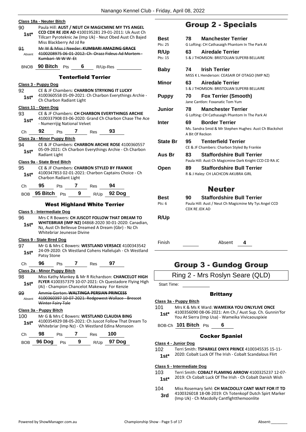|                 | Class 18a - Neuter Bitch                                                                                                                                              |                            |   |     |                                                                                                               |  |
|-----------------|-----------------------------------------------------------------------------------------------------------------------------------------------------------------------|----------------------------|---|-----|---------------------------------------------------------------------------------------------------------------|--|
| 90<br>$1st^*$   | Paula Hill: AUST / NEUT CH MAGICMINE MY TYS ANGEL<br>CCD CDX RE JDX AD 4100195281 29-01-2011: Uk Aust Ch<br>Tillcarr Pyroteknic Jw (Imp Uk) - Neut Obed Aust Ch Bajed |                            |   |     |                                                                                                               |  |
|                 | Miss Blackberry Ad Jd Re                                                                                                                                              |                            |   |     |                                                                                                               |  |
| 91<br>Absent    | Mr W & Miss J Needer: KUMBARI AMAZING GRACE<br>4100208975 06-01-2012: Ch. Orazz Fideus Ad Mortem -<br>Kumbari WWW Et                                                  |                            |   |     |                                                                                                               |  |
|                 | BNOB 90 Bitch Pts 6 R/Up-Res                                                                                                                                          |                            |   |     |                                                                                                               |  |
|                 |                                                                                                                                                                       | <b>Tenterfield Terrier</b> |   |     |                                                                                                               |  |
|                 | Class 3 - Puppy Dog                                                                                                                                                   |                            |   |     |                                                                                                               |  |
| 92 —<br>$1st^*$ | Ch Charbon Radiant Light                                                                                                                                              |                            |   |     | CE & JF Chambers: CHARBON STRYKING IT LUCKY<br>4100360558 05-09-2021: Ch Charbon Everythings Archie -         |  |
|                 | Class 11 - Open Dog                                                                                                                                                   |                            |   |     |                                                                                                               |  |
| 93              |                                                                                                                                                                       |                            |   |     | CE & JF Chambers: CH CHARBON EVERYTHINGS ARCHIE                                                               |  |
| $1st^*$         | - Numerrijig National Velvet                                                                                                                                          |                            |   |     | 4100337908 03-06-2020: Grand Ch Charbon Chase The Ace                                                         |  |
|                 | Ch 92 Pts 7 Res 93                                                                                                                                                    |                            |   |     |                                                                                                               |  |
|                 | Class 2a - Minor Puppy Bitch                                                                                                                                          |                            |   |     |                                                                                                               |  |
| 94<br>$1st^*$   | Radiant Light                                                                                                                                                         |                            |   |     | CE & JF Chambers: CHARBON ARCHIE ROSE 4100360557<br>05-09-2021: Ch Charbon Everythings Archie - Ch Charbon    |  |
|                 | Class 9a - State Bred Bitch                                                                                                                                           |                            |   |     |                                                                                                               |  |
| 95              |                                                                                                                                                                       |                            |   |     | CE & JF Chambers: CHARBON STYLED BY FRANKIE                                                                   |  |
| $1st^*$         | 4100347853 02-01-2021: Charbon Captains Choice - Ch<br>Charbon Radiant Light                                                                                          |                            |   |     |                                                                                                               |  |
|                 |                                                                                                                                                                       |                            |   |     |                                                                                                               |  |
|                 | Ch 95 Pts 7 Res 94                                                                                                                                                    |                            |   |     |                                                                                                               |  |
|                 | BOB 95 Bitch Pts 9 R/Up 92 Dog                                                                                                                                        |                            |   |     |                                                                                                               |  |
|                 |                                                                                                                                                                       |                            |   |     | <b>West Highland White Terrier</b>                                                                            |  |
|                 | Class 5 - Intermediate Dog                                                                                                                                            |                            |   |     |                                                                                                               |  |
| 96 —            |                                                                                                                                                                       |                            |   |     | Mrs C R Bowers: CH JUSCOT FOLLOW THAT DREAM TO                                                                |  |
| $1st^*$         | Whitebriar Jeunesse Divine                                                                                                                                            |                            |   |     | WHITEBRIAR (IMP NZ) 04868-2020 30-01-2020: Canadian,<br>Nz, Aust Ch Bellevue Dreamed A Dream (Gbr) - Nz Ch    |  |
|                 |                                                                                                                                                                       |                            |   |     |                                                                                                               |  |
|                 | Class 9 - State Bred Dog                                                                                                                                              |                            |   |     | 97 Mr G & Mrs C Bowers: WESTLAND VERSACE 4100343542                                                           |  |
| $1st*$          |                                                                                                                                                                       |                            |   |     | 24-09-2020: Ch Westland Cohens Hallelujah - Ch Westland                                                       |  |
|                 | Patsy Stone                                                                                                                                                           |                            |   |     |                                                                                                               |  |
| Ch              | 96<br>Pts                                                                                                                                                             |                            | 7 | Res | 97                                                                                                            |  |
|                 | Class 2a - Minor Puppy Bitch                                                                                                                                          |                            |   |     |                                                                                                               |  |
| 98<br>$1st*$    |                                                                                                                                                                       |                            |   |     | Miss Kathy Mankey & Mr R Richardson: CHANCELOT HIGH<br>FLYER 4100357379 10-07-2021: Ch Questadore Flying High |  |
| 99              |                                                                                                                                                                       |                            |   |     | (Ai) - Champion Chancelot Makeway For Kenzie<br>Ammie Gorton: WALTINGA PERSIAN PRINCESS                       |  |
| Absent          | Winter Fairy Tale                                                                                                                                                     |                            |   |     | 4100360397 10-07-2021: Redgowest Wallace - Brescot                                                            |  |
|                 | Class 3a - Puppy Bitch                                                                                                                                                |                            |   |     |                                                                                                               |  |
| 100             |                                                                                                                                                                       |                            |   |     | Mr G & Mrs C Bowers: WESTLAND CLAUDIA BING                                                                    |  |
| $1st^*$         |                                                                                                                                                                       |                            |   |     | 4100354929 08-05-2021: Ch Juscot Follow That Dream To<br>Whitebriar (Imp Nz) - Ch Westland Edina Monsoon      |  |
| Ch              | 98<br>Pts                                                                                                                                                             | 7                          |   | Res | 100                                                                                                           |  |

# Group 2 - Specials

| <b>Best</b>     | <b>Manchester Terrier</b><br>78.                                                                         |  |
|-----------------|----------------------------------------------------------------------------------------------------------|--|
| Pts: 25         | G Lofting: CH Cathasaigh Phantom In The Park AI                                                          |  |
| R/Up            | <b>Airedale Terrier</b><br>63                                                                            |  |
| Pts: 15         | S & I THOMSON: BRISTOLIAN SUPERB BELLAIRE                                                                |  |
| <b>Baby</b>     | <b>Irish Terrier</b><br>74.<br>MISS K L Henderson: CEASAIR OF OTAGO (IMP NZ)                             |  |
| Minor           | 63<br><b>Airedale Terrier</b><br>S & I THOMSON: BRISTOLIAN SUPERB BELLAIRE                               |  |
| <b>Puppy</b>    | <b>Fox Terrier (Smooth)</b><br>70<br>Jane Cantlon: Foxanatic Tom Yum                                     |  |
| Junior          | 78<br><b>Manchester Terrier</b><br>G Lofting: CH Cathasaigh Phantom In The Park AI                       |  |
| <b>Inter</b>    | <b>Border Terrier</b><br>69<br>Ms. Sandra Smid & Mr Stephen Hughes: Aust Ch Blackshot<br>A Bit Of Reckon |  |
| <b>State Br</b> | <b>Tenterfield Terrier</b><br>95.<br>CE & JF Chambers: Charbon Styled By Frankie                         |  |
| Aus Br          | <b>Staffordshire Bull Terrier</b><br>83<br>Paula Hill: Aust Ch Magicmine Dark Knight CCD CD RA JC        |  |
| Open            | <b>Staffordshire Bull Terrier</b><br>89<br>R & J Haley: CH LACHCON AKUBRA GIRL                           |  |
|                 | <b>Neuter</b>                                                                                            |  |
| <b>Best</b>     | <b>Staffordshire Bull Terrier</b><br>90                                                                  |  |
| Pts: $6$        | Paula Hill: Aust / Neut Ch Magicmine My Tys Angel CCD<br>CDX RE JDX AD                                   |  |
| R/Up            |                                                                                                          |  |
|                 |                                                                                                          |  |

Finish Absent **4**

# Group 3 - Gundog Group

Start Time:

#### **Brittany**

#### **Class 3a - Puppy Bitch**

- 101 Mrs K & Ms K Ward: **WAMEIKA YOU ONLYLIVE ONCE**
- 4100356090 08-06-2021: Am Ch./ Aust Sup. Ch. Gunnin'for You At Sierra (Imp Usa) - Wameika Vivicaouspixie **1st\***
- BOB-Ch **101 Bitch** Pts **6**

#### Cocker Spaniel

#### **Class 4 - Junior Dog**

102 Terri Smith: **TSPARKLE ONYX PRINCE** 4100345535 15-11-

2020: Cobalt Luck Of The Irish - Cobalt Scandalous Flirt **1st\***

#### **Class 5 - Intermediate Dog**

- 103 Terri Smith: **COBALT FLAMING ARROW** 4100325237 12-07- 2019: Ch Cobalt Luck Of The Irish - Ch Cobalt Danish Wish **1st\***
- 104 Miss Rosemary Sehl: **CH MACDOLLY CANT WAIT FOR IT TD** 4100326018 18-08-2019: Ch Totenkopf Dutch Spirt Marker **3rd** 4100326018 18-08-2019: Ch Totenkopf Dutch<br>(Imp Uk) - Ch Macdolly Cantfightthemoonlite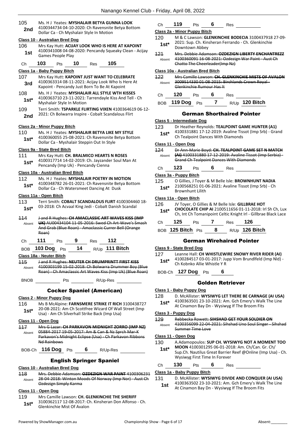| 105         | Ms. H J Yeates: MYSHALAIR BETYA GUNNA LOOK                                                                   | Сh                         |  |  |  |  |
|-------------|--------------------------------------------------------------------------------------------------------------|----------------------------|--|--|--|--|
| 2nd         | 4100344734 04-10-2020: Ch Ravensnite Betya Bottom<br>Dollar Ca - Ch Myshalair Style In Motion                |                            |  |  |  |  |
|             |                                                                                                              | Class <sub>2a</sub><br>120 |  |  |  |  |
| 106         | <b>Class 10 - Australian Bred Dog</b><br>Mrs Kay Hutt: ACIJAY LOOK WHO IS HERE AT KAPOINT                    | 1st*                       |  |  |  |  |
| 1st         | 4100341008 04-08-2020: Pencandy Squeaky Clean - Acijay                                                       |                            |  |  |  |  |
|             | Games People Play                                                                                            | 121                        |  |  |  |  |
| Сh          | 103<br>10<br>105<br>Pts<br>Res                                                                               | Absent                     |  |  |  |  |
|             | Class 1a - Baby Puppy Bitch                                                                                  | <u>Class 10</u>            |  |  |  |  |
| 107         | Mrs Kay Hutt: KAPOINT JUST WANT TO CELEBRATE                                                                 | 122                        |  |  |  |  |
| 3rd         | 4100363314 08-11-2021: Acijay Look Who Is Here At                                                            | Absent                     |  |  |  |  |
| 108         | Kapoint - Pencandy Just Born To Be At Kapoint<br>Ms. H J Yeates: MYSHALAIR ALL STYLE WTH KISSES              |                            |  |  |  |  |
| $1st*$      | 4100363710 23-11-2021: Tarrendayle Kiss And Tell - Ch                                                        | Сh                         |  |  |  |  |
|             | Myshalair Style In Motion                                                                                    | BOB                        |  |  |  |  |
| 109         | Terri Smith: TSPARKLE FLIRTING VIXEN 4100364619 06-12-                                                       |                            |  |  |  |  |
| 2nd         | 2021: Ch Bolwarra Inspire - Cobalt Scandalous Flirt                                                          |                            |  |  |  |  |
|             |                                                                                                              | Class 5                    |  |  |  |  |
| 110         | Class 2a - Minor Puppy Bitch<br>Ms. H J Yeates: MYSHALAIR BETYA LIKE MY STYLE                                | 123                        |  |  |  |  |
| $1st^*$     | 4100360055 25-08-2021: Ch Ravensnite Betya Bottom                                                            | 1st*                       |  |  |  |  |
|             | Dollar Ca - Myshalair Steppin Out In Style                                                                   | Class 11                   |  |  |  |  |
|             | Class 9a - State Bred Bitch                                                                                  | 124                        |  |  |  |  |
| 111         | Mrs Kay Hutt: CH. BRALMICO HEARTS N ROSES                                                                    | Absent                     |  |  |  |  |
| 1st*        | 4100317714 14-02-2019: Ch. Jayzander Soul Man At<br>Pencandy (Imp Uk) - Pencandy Cienna                      |                            |  |  |  |  |
|             | Class 10a - Australian Bred Bitch                                                                            | Сh                         |  |  |  |  |
| 112         | Ms. H J Yeates: MYSHALAIR POETRY IN MOTION                                                                   | Class 3a                   |  |  |  |  |
| 1st*        | 4100348782 26-01-2021: Ch Ravensnite Betya Bottom                                                            | 125<br>$1st*$              |  |  |  |  |
|             | Dollar Ca - Ch Watersmeet Dancing At Dusk                                                                    |                            |  |  |  |  |
|             | Class 11a - Open Bitch                                                                                       | Class 11                   |  |  |  |  |
| 113         | Terri Smith: COBALT SCANDALOUS FLIRT 4100304460 18-<br>03-2018: Ch Acvaal King Jedi - Cobalt Danish Scandal  | 126                        |  |  |  |  |
| $1st^*$     |                                                                                                              | 1st*                       |  |  |  |  |
| 114         | J and R Hughes: CH AMACLASSIC ART WAVES KISS (IMP                                                            |                            |  |  |  |  |
| Absent      | UK) AU00434104 11 05 2016: Swed Ch Art Wave's Smash<br>And Grab (Blue Roan) - Amaclassic Currer Bell (Orange | Сh                         |  |  |  |  |
|             | Roan)                                                                                                        | BOB                        |  |  |  |  |
| Ch          | 111<br>112<br>9<br>Pts<br>Res                                                                                |                            |  |  |  |  |
| BOB         | 103 Dog $P$ ts 14 R/Up 111 Bitch                                                                             | Class 9                    |  |  |  |  |
|             | Class 18a - Neuter Bitch                                                                                     | 127                        |  |  |  |  |
| 115         | J and R Hughes: NEUTER CH DRUMPRINTT FIRST KISS                                                              | $1st^*$                    |  |  |  |  |
| Absent      | 4100303199 15-02-2018: Ch Bolwarra Drummer Boy (Blue                                                         |                            |  |  |  |  |
|             | Roan) - Ch Amaclassic Art Waves Kiss (Imp Uk) (Blue Roan)                                                    | BOB-C                      |  |  |  |  |
| <b>BNOB</b> |                                                                                                              |                            |  |  |  |  |
|             | <b>Cocker Spaniel (American)</b>                                                                             | Class 1                    |  |  |  |  |
|             | <b>Class 2 - Minor Puppy Dog</b>                                                                             | 128                        |  |  |  |  |
| 116         | Ms B McAlpine: FARNSMERE STRIKE IT RICH 3100438727                                                           | 1st*                       |  |  |  |  |
| $1st^*$     | 20-08-2021: Am Ch Scottfree Wizard Of Wall Street (Imp                                                       |                            |  |  |  |  |
|             | Usa) - Am Ch Silverhall Strike Back (Imp Usa)                                                                | Class 3                    |  |  |  |  |
|             | Class 11 - Open Dog                                                                                          | 129                        |  |  |  |  |
| 117         | Mrs G Lazar: CH PARKAVON MIDNIGHT ZORRO (IMP NZ)                                                             | Absent                     |  |  |  |  |
| Absent      | 05884-2017 19-05-2017: Am & Can & Nz Sprch Mar-K<br>Parkavon's Midnight Eclipse (Usa) - Ch Parkavon Ribbons  | Class <sub>11</sub>        |  |  |  |  |
|             | Nd Rainbows                                                                                                  | 130                        |  |  |  |  |
|             | BOB-Ch 116 Dog Pts 6 R/Up-Res                                                                                | 1st*                       |  |  |  |  |
|             |                                                                                                              |                            |  |  |  |  |
|             | <b>English Springer Spaniel</b>                                                                              |                            |  |  |  |  |
|             | <b>Class 10 - Australian Bred Dog</b>                                                                        | Ch                         |  |  |  |  |
| 118         | Mrs. Debbie Adamson: QZDEZIGN WAR PAINT 4100306231<br>28-04-2018: Winton Moods Of Norway (Imp Nor) - Aust Ch | Class 1a<br>131            |  |  |  |  |
| Absent      | Ozdezign Simply Karma                                                                                        | 1st                        |  |  |  |  |
|             | Class 11 - Open Dog                                                                                          |                            |  |  |  |  |
|             | 119 Mrs Camille Lawson: CH. GLENKINCHIE THE SHERIFF                                                          |                            |  |  |  |  |

3100362117 12-08-2017: Ch. Kinsheran Don Alfonso - Ch.

| Сh | 119 | ⊃ts | Res |
|----|-----|-----|-----|
|    |     |     |     |

#### **Class 2a - Minor Puppy Bitch**

- 120 M & C Lawson: **GLENKINCHIE BODECIA** 3100437918 27-09- 2021: Sup. Ch. Kinsheran Ferrando - Ch. Glenkinchie **Downtown Abbey**
- 121 Mrs. Debbie Adamson: **OZDEZIGN LIBERTY ENCHANTREZZ** 4100360091 16-08-2021: Ozdezign War Paint - Aust Ch Chatto The Cheerleader(Imp Nz)

#### **Class 10a - Australian Bred Bitch**

|        |                                                                             |  | Mrs Camille Lawson: CH. GLENKINCHIE MISTS OF AVALON |  |  |  |  |
|--------|-----------------------------------------------------------------------------|--|-----------------------------------------------------|--|--|--|--|
| Ahsent | 3009514330 01 08 2015: Birchlands Crown Royal-<br>Glenkinchie Rumour Has It |  |                                                     |  |  |  |  |
|        | יפ <del>ו</del> כ                                                           |  | Res                                                 |  |  |  |  |

#### BOB **119 Dog** Pts **7** R/Up **120 Bitch**

#### German Shorthaired Pointer

#### **Class 5 - Intermediate Dog**

- Dr Heather Reynolds: TEALPOINT GAME HUNTER (A1)
- 4100331881 17-12-2019: Avaline Tissot (Imp Srb) Grand **Ch Tealpoint Dances With Diamonds**

#### **Class 11 - Open Dog**

124 Dr Ann-Marie Boyd: **CH. TEALPOINT GAME SET N MATCH (AI)** 4100331880 17-12-2019: Avaline Tissot (Imp Serbia) - Grand Ch Tealpoint Dances With Diamonds

### 123 Pts 6 Res

#### **Class 3a - Puppy Bitch**

125 O Gillies, J Toyer & M Belle Isle: **BROWNHUNT NADIA** 2100568251 01-06-2021: Avaline Tissot (Imp Srb) - Ch **Brownhunt Lilith** 

#### **Class 11a - Open Bitch**

| 126.   | JV Toyer, O Gillies & M Belle Isle: GILLBRAE HOT        |            |  |            |                                                                |  |  |
|--------|---------------------------------------------------------|------------|--|------------|----------------------------------------------------------------|--|--|
| $1st*$ | CHOCOLATE CHIP AI 2100511656 01-11-2018: Irl Sh Ch, Lux |            |  |            |                                                                |  |  |
|        |                                                         |            |  |            | Ch, Int Ch Tomanipoint Celtic Knight Irl - Gillbrae Black Lace |  |  |
| Ch     | 125                                                     | <b>Pts</b> |  | <b>Res</b> | 126                                                            |  |  |

BOB **125 Bitch** Pts **8** R/Up **126 Bitch**

#### German Wirehaired Pointer

#### **Class 9 - State Bred Dog**

| 127    | Leanne Hall: CH WHISTLEWIRE SNOWY RIVER RIDER (AI)     |
|--------|--------------------------------------------------------|
| $1st*$ | 4100284517 03-01-2017: Jupp Vom Brundlfeld (Imp Nld) - |
|        | Ch Kobnko Allie Whistle Y R                            |

BOB-Ch **127 Dog** Pts **6**

#### Golden Retriever

#### **Class 1 - Baby Puppy Dog**

128 D. McAllister: **WYSIWYG LET THERE BE CARNAGE (AI USA)** 4100363501 23-10-2021: Am. Gch Emery's Walk The Line At Cinamon Bay Dn - Wysiwyg If The Broom Fits

#### **Class 3 - Puppy Dog**

| 129 | <b>Represent Bowett: CIHCHAD GET VOLIB SOLDIER ON</b> |
|-----|-------------------------------------------------------|
|-----|-------------------------------------------------------|

4100356099 22-04-2021: Sihshad Uno Soul Singer - Sihshad Summer Time Love

#### **Class 11 - Open Dog**

- 130 A.Adamopoulos: **SUP CH. WYSIWYG NOT A MOMENT TOO MOON** 4100301295 06-01-2018: Am. Ch/Can. Gr. Ch/
	- Sup.Ch. Nautilus Great Barrier Reef @Online (Imp Usa) Ch. Wysiwyg First Time In Forever

130 Pts 6 Res

#### **Class 1a - Baby Puppy Bitch**

#### 131 D. McAllister: **WYSIWYG DIVIDE AND CONQUER (AI USA)**

4100363502 23-10-2021: Am. Gch Emery's Walk The Line At Cinamon Bay Dn - Wysiwyg If The Broom Fits

**1st**\* <sup>3100362117 12-08-2017: Cl<br>Glenkinchie Mist Of Avalon</sup>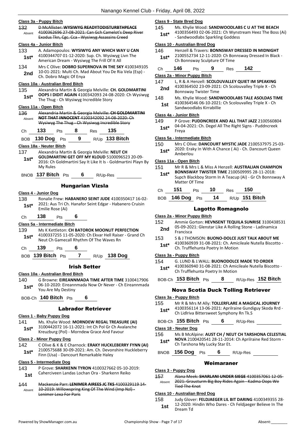#### **Class 3a - Puppy Bitch**

| Class 3a - Puppy Bitch |                                                                                                                                                                   | <u>C</u>             |  |  |  |  |
|------------------------|-------------------------------------------------------------------------------------------------------------------------------------------------------------------|----------------------|--|--|--|--|
| 132<br>Absent          | 1.<br><b>D McAllister: WYSIWYG READYTODISTURBTHPEACE</b><br>4100362696 27-08-2021: Can Gch Camelot's Deep River<br>Exodus Tkn, Cgc. Cca - Wysiwyg Assassins Creed |                      |  |  |  |  |
|                        | <u> Class 4a - Junior Bitch</u>                                                                                                                                   | <u>c</u>             |  |  |  |  |
| 133                    | A. Adamopoulos: WYSIWYG ANY WHICH WAY U CAN                                                                                                                       | 1.                   |  |  |  |  |
| $1st^*$                | 4100344707 01-12-2020: Sup. Ch. Wysiwyg Livn The<br>American Dream - Wysiwyg The Frill Of It All                                                                  |                      |  |  |  |  |
| 134                    | Mrs C Olive: DOBRO SUPERNOVA IN THE SKY 4100349105                                                                                                                |                      |  |  |  |  |
| 2nd                    | 10-01-2021: Multi Ch. Mad About You De Ria Vela (Esp) -<br>Ch. Dobro Magic Of Enya                                                                                | <u>C</u>             |  |  |  |  |
|                        | <b>Class 10a - Australian Bred Bitch</b>                                                                                                                          | $\mathbf{1}$         |  |  |  |  |
| 135                    | Alexandria Martin & Georgia Melville: CH. GOLDMARTINI                                                                                                             |                      |  |  |  |  |
| $1st*$                 | OOPS I DIDIT AGAIN 4100342093 24-08-2020: Ch Wysiwyg<br>The Thug - Ch Wysiwyg Incredible Story                                                                    | 1.                   |  |  |  |  |
|                        | <u> Class 11a - Open Bitch</u>                                                                                                                                    |                      |  |  |  |  |
| 136                    | Alexandria Martin & Georgia Melville: CH GOLDMARTINI                                                                                                              | <u>C</u>             |  |  |  |  |
| Absent                 | <b>NOT THAT INNOCENT 4100342092 24-08-2020: Ch</b>                                                                                                                | 1.                   |  |  |  |  |
|                        | Wysiwyg The Thug Ch Wysiwyg Incredible Story                                                                                                                      |                      |  |  |  |  |
| Сh                     | 133<br>135<br>8<br>Pts<br><b>Res</b>                                                                                                                              |                      |  |  |  |  |
| <b>BOB</b>             | - 9<br>$R/Up$ 133 Bitch<br>130 Dog Pts                                                                                                                            | <u>c</u>             |  |  |  |  |
|                        |                                                                                                                                                                   | 1:                   |  |  |  |  |
|                        | Class 18a - Neuter Bitch                                                                                                                                          |                      |  |  |  |  |
| 137                    | Alexandria Martin & Georgia Melville: NEUT CH<br><b>GOLDMARTINI GET OFF MY KLOUD 5100096523 20-09-</b>                                                            |                      |  |  |  |  |
| $1st*$                 | 2016: Ch Goldmartini Say It Like It Is - Goldmartini Playn By                                                                                                     | <u>C</u>             |  |  |  |  |
|                        | My Rules                                                                                                                                                          | 1:                   |  |  |  |  |
|                        | 137 Bitch $P$ ts<br>6                                                                                                                                             |                      |  |  |  |  |
| <b>BNOB</b>            | R/Up-Res                                                                                                                                                          |                      |  |  |  |  |
|                        | <b>Hungarian Vizsla</b>                                                                                                                                           |                      |  |  |  |  |
|                        | Class 4 - Junior Dog                                                                                                                                              |                      |  |  |  |  |
| 138                    | Ronalie Frew: HABANERO SEINT JUDE 4100350417 16-02-                                                                                                               |                      |  |  |  |  |
|                        | 2021: Aus Tri Ch. Hanafor Seint Edgar - Habanero Cruisin                                                                                                          |                      |  |  |  |  |
| $1st*$                 | Emilie Rose (Ai)                                                                                                                                                  |                      |  |  |  |  |
|                        |                                                                                                                                                                   |                      |  |  |  |  |
|                        |                                                                                                                                                                   |                      |  |  |  |  |
| Сh                     | 138<br>6<br>Pts                                                                                                                                                   | <u>С</u><br>1:       |  |  |  |  |
|                        | Class 5a - Intermediate Bitch                                                                                                                                     |                      |  |  |  |  |
| 139                    | Ms K Kettleton: CH BATOROK MOONLIT PERFECTION                                                                                                                     |                      |  |  |  |  |
| $1st*$                 | 4100337255 11-05-2020: Ch Ekvar Hell Raiser - Grand Ch<br>Neut Ch Gamecall Rhythm Of The Waves Rn                                                                 | 1:                   |  |  |  |  |
|                        |                                                                                                                                                                   |                      |  |  |  |  |
| Сh                     | 139<br>6<br>Pts                                                                                                                                                   |                      |  |  |  |  |
|                        | BOB 139 Bitch Pts 7 $R/Up$ 138 Dog                                                                                                                                | С                    |  |  |  |  |
|                        |                                                                                                                                                                   | 1:                   |  |  |  |  |
|                        | <b>Irish Setter</b>                                                                                                                                               |                      |  |  |  |  |
|                        | Class 10a - Australian Bred Bitch                                                                                                                                 |                      |  |  |  |  |
| 140                    | G Browne: EIREANNMADA TIME AFTER TIME 3100417906                                                                                                                  |                      |  |  |  |  |
| 1st*                   | 06-10-2020: Eireannmada Now Or Never - Ch Eireannmada                                                                                                             |                      |  |  |  |  |
|                        | You Are My Destiny                                                                                                                                                |                      |  |  |  |  |
|                        | BOB-Ch 140 Bitch Pts 6                                                                                                                                            | <u>c</u>             |  |  |  |  |
|                        |                                                                                                                                                                   | $\ddagger$           |  |  |  |  |
|                        | <b>Labrador Retriever</b>                                                                                                                                         |                      |  |  |  |  |
|                        | Class 1 - Baby Puppy Dog                                                                                                                                          |                      |  |  |  |  |
| 141                    | Ms. Khylie Wood: MORNDEW REGAL TREASURE (AI)                                                                                                                      |                      |  |  |  |  |
| $1st*$                 | 3100442072 16-11-2021: Int Ch Pol Gr Ch Avalanche<br>Kreuzburg (Pol) - Morndew Grace And Favour                                                                   | <u>c</u>             |  |  |  |  |
|                        |                                                                                                                                                                   | $\ddot{\phantom{a}}$ |  |  |  |  |
|                        | <b>Class 2 - Minor Puppy Dog</b>                                                                                                                                  |                      |  |  |  |  |
| 142                    | C Olive & K & E Charnock: ERAKY HUCKLEBERRY FYNN (AI)<br>2100575688 30-09-2021: Am. Ch. Devonshire Huckleberry                                                    |                      |  |  |  |  |
| $1st^*$                | Finn (Usa) - Dancourt Remarkable Haley                                                                                                                            |                      |  |  |  |  |
|                        | Class 5 - Intermediate Dog                                                                                                                                        |                      |  |  |  |  |
| 143                    | P Grove: SHARKENN TYRON 4100327662 05-10-2019:                                                                                                                    |                      |  |  |  |  |
| 1st                    | Caherciveen Landas Lochan Ora - Sharkenn Reiko                                                                                                                    | <u>c</u>             |  |  |  |  |
|                        |                                                                                                                                                                   | $\overline{1}$       |  |  |  |  |
| 144                    | Mackenzie Parr: LENIMER AIREES JC TKS 4100329119 14-                                                                                                              |                      |  |  |  |  |
| Absent                 | 10-2019: Willowspring King Of The Wind (Imp NzI)-<br>Lenimer Lexa For Paris                                                                                       | <u>c</u>             |  |  |  |  |

#### **Class 9 - State Bred Dog**

145 Ms. Khylie Wood: **SANDWOODLABS C U AT THE BEACH** 4100356493 02-06-2021: Ch Wynstream Heez The Boss (Ai) 1st\* 4100550495 02-00-2021. CIT WYLSONERS<br>**1st\*** - Sandwoodlabs Sparkling Goddess

#### **Class 10 - Australian Bred Dog**

146 Henzell & Travers: **BONNSWAY DRESSED IN MIDNIGHT** 2100552734 12-11-2020: Ch Bonnsway Dressed In Black - Ch Bonnsway Sculpture Of Time **1st\***

| Ch | 146 | Pts | 9 | Res | 142 |
|----|-----|-----|---|-----|-----|

#### **Class 2a - Minor Puppy Bitch**

- 147 L, R & A Henzell: **SCOLOUVALLEY QUIET IM SPEAKING** 4100364502 23-09-2021: Ch Scolouvalley Triple X - Ch **2nd** 4100364502 23-09-2021<br>Bonnsway Twister Time
- 148 Ms. Khylie Wood: **SANDWOODLABS TALE ASOLDAS TIME** 4100364546 06-10-2021: Ch Scolouvalley Triple X - Ch Sandwoodlabs Kirrabillie **1st**

#### **Class 4a - Junior Bitch**

- 149 P Grove: **PUDDNCREEK AND ALL THAT JAZZ** 2100560804
- 04-04-2021: Ch. Degel All The Right Signs Puddncreek **1st**\* <sup>U4-U4</sup><br>Freva

#### **Class 5a - Intermediate Bitch**

150 Mrs C Olive: **DANCOURT MYSTIC JADE** 2100537975 25-03- 2020: Eraky In With A Chance ( Ai) - Ch. Dancourt Queen 1st<sup>\*</sup> <sup>2020:</sup> Erak<br>Amberlou

#### **Class 11a - Open Bitch**

- 151 Mr R & Mrs L & Miss A Henzell: **AUSTRALIAN CHAMPION BONNSWAY TWISTER TIME** 2100509995 28-11-2018:
- Supch Blackboy Storm In A Teacup (Ai) Gr Ch Bonnsway A Matter Of Time **1st\***

| Ch | 151 | ⊃ts | 10 | Res | 150 |
|----|-----|-----|----|-----|-----|
|    |     |     |    |     |     |

BOB **146 Dog** Pts **14** R/Up **151 Bitch**

#### Lagotto Romagnolo

#### **Class 2a - Minor Puppy Bitch**

- 152 Ammie Gorton: **HEVNSENT TEQUILA SUNRISE** 3100438531 05-09-2021: Glenstar Like A Rolling Stone - Ladinamica **2nd** <sup>U5-U9-20</sup>
- 153 S & J THOMSON: **BUONO-DOLCE JUST TALK ABOUT ME**
- 4100360939 31-08-2021: Ch. Amicileale Nutella Biscotto 1st\* 4100360939 31-08-2021: Ch. Amid<br>Ch. Trufflehunta Poetry In Motion

#### **Class 3a - Puppy Bitch**

- 154 G. LUND & J.WALL: **BUONODOLCE MADE TO ORDER**
- 4100360940 31-08-2021: Ch Amicileale Nutella Biscotto 1st\* 4100360940 31-08-2021: Ch Amid<br>Ch Trufflehunta Poetry In Motion
- BOB-Ch **153 Bitch** Pts **8** R/Up-Res **152 Bitch**

#### Nova Scotia Duck Tolling Retriever

#### **Class 3a - Puppy Bitch**

- 155 Mr R & Mrs M Ally: **TOLLERFLARE A MAGICAL JOURNEY**
- 4100356114 13-06-2021: Aprilraine Gundiguy Skoda Rrd **1st** <sup>4100356114</sup> 13-06-2021: Aprilraine Gund<br>Ch Lidlriva Bittersweet Symphony Rn Tk.S

#### BOB-Ch **155 Bitch** Pts **6** R/Up-Res

#### **Class 18 - Neuter Dog**

- 156 Ms B McAlpine: **AUST CH / NEUT CH TARSHONA CELESTIAL NOVA** 2100420541 28-11-2014: Ch Aprilraine Red Storm -
	- 1st\* NOVA 2100420541 28-11-2014<br>Ch Tarshona My Lucky Star Et.

BNOB **156 Dog** Pts **6** R/Up-Res

#### Weimaraner

#### **Class 3 - Puppy Dog**

157 Alana Meek: **SHARLANI UNDER SIEGE** 4100357061 12-05- 2021: Grausturm Big Boy Rides Again - Kadma Oops We Tied The Knot Absent

#### **Class 10 - Australian Bred Dog**

158 Judy Glover: **FELDJAEGER LIL BIT DARING** 4100349355 28- 12-2020: Hindin Who Dares - Ch Feldjaeger Believe In The **1st** 12-2020: **1st** Dream Td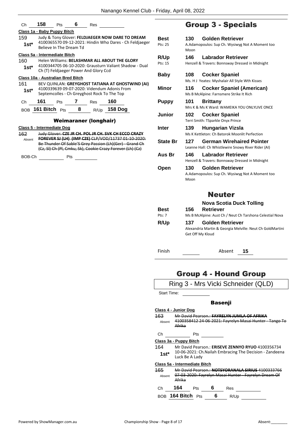| Ch                           | 158                         | Pts                                              | 6.    | Res                                         |                                                                                                                     |  |  |  |
|------------------------------|-----------------------------|--------------------------------------------------|-------|---------------------------------------------|---------------------------------------------------------------------------------------------------------------------|--|--|--|
|                              | Class 1a - Baby Puppy Bitch |                                                  |       |                                             |                                                                                                                     |  |  |  |
| 159                          |                             | Judy & Tony Glover: FELDJAEGER NOW DARE TO DREAM |       |                                             |                                                                                                                     |  |  |  |
| $1st^*$                      |                             | Believe In The Dream Td                          |       |                                             | 4100365570 09-12-2021: Hindin Who Dares - Ch Feldjaeger                                                             |  |  |  |
|                              |                             | Class 5a - Intermediate Bitch                    |       |                                             |                                                                                                                     |  |  |  |
| 160                          |                             |                                                  |       |                                             | Helen Williams: BELASHMAR ALL ABOUT THE GLORY                                                                       |  |  |  |
| $1st*$                       |                             |                                                  |       | Ch (T) Feldjaeger Power And Glory Ccd       | 4100344705 06-10-2020: Grausturn Valiant Shadow - Dual                                                              |  |  |  |
|                              |                             | Class 10a - Australian Bred Bitch                |       |                                             |                                                                                                                     |  |  |  |
| 161                          |                             |                                                  |       |                                             | BEV QUINLAN: GREYGHOST TATIANA AT GHOSTWIND (AI)                                                                    |  |  |  |
| $1st*$                       |                             |                                                  |       | Septemcolles - Ch Greyghost Rock To The Top | 4100339639 09-07-2020: Videndum Adonis From                                                                         |  |  |  |
| Ch                           | 161                         |                                                  | Pts 7 | Res                                         | 160                                                                                                                 |  |  |  |
|                              |                             | $_{\text{BOB}}$ 161 Bitch $_{\text{PtS}}$ 8      |       |                                             | R/Up 158 Dog                                                                                                        |  |  |  |
| <b>Weimaraner (longhair)</b> |                             |                                                  |       |                                             |                                                                                                                     |  |  |  |
|                              |                             | <b>Class 5 - Intermediate Dog</b>                |       |                                             |                                                                                                                     |  |  |  |
| 162                          |                             |                                                  |       |                                             | Judy Glover: CZE JR CH. POL JR CH. SVK CH ECCO CRAZY                                                                |  |  |  |
| Absent                       |                             |                                                  |       |                                             | FOREVER SJ (LH) (IMP CZE) CLP/VOD/11737 01-10-2020:                                                                 |  |  |  |
|                              |                             |                                                  |       |                                             | Be Thunder Of Sable'S Grey Passion (Lh)(Ger) Grand Ch<br>(Cz, SI) Ch (Pl, Cmku, Sk), Cookie Crazy Forever (Lh) (Cz) |  |  |  |
| BOB-Ch                       |                             | Pts                                              |       |                                             |                                                                                                                     |  |  |  |

# Group 3 - Specials

| Best            | 130  | <b>Golden Retriever</b>                                                       |
|-----------------|------|-------------------------------------------------------------------------------|
| Pts: 25         | Moon | A.Adamopoulos: Sup Ch. Wysiwyg Not A Moment too                               |
| <b>R/Up</b>     | 146  | <b>Labrador Retriever</b>                                                     |
| Pts: 15         |      | Henzell & Travers: Bonnsway Dressed in Midnight                               |
| Baby            | 108  | <b>Cocker Spaniel</b><br>Ms. H J Yeates: Myshalair All Style Wth Kisses       |
| Minor           | 116  | <b>Cocker Spaniel (American)</b>                                              |
|                 |      | Ms B McAlpine: Farnsmere Strike It Rich                                       |
| <b>Puppy</b>    | 101  | <b>Brittany</b>                                                               |
|                 |      | Mrs K & Ms K Ward: WAMEIKA YOU ONLYLIVE ONCE                                  |
| Junior          | 102  | <b>Cocker Spaniel</b>                                                         |
|                 |      | Terri Smith: TSparkle Onyx Prince                                             |
| <b>Inter</b>    | 139  | <b>Hungarian Vizsla</b>                                                       |
|                 |      | Ms K Kettleton: Ch Batorok Moonlit Perfection                                 |
| <b>State Br</b> | 127  | <b>German Wirehaired Pointer</b>                                              |
|                 |      | Leanne Hall: Ch Whistlewire Snowy River Rider (AI)                            |
| Aus Br          | 146  | <b>Labrador Retriever</b>                                                     |
|                 |      | Henzell & Travers: Bonnsway Dressed in Midnight                               |
| Open            | 130  | <b>Golden Retriever</b>                                                       |
|                 |      | A.Adamopoulos: Sup Ch. Wysiwyg Not A Moment too                               |
|                 | Moon |                                                                               |
|                 |      |                                                                               |
|                 |      | <b>Neuter</b>                                                                 |
|                 |      | <b>Nova Scotia Duck Tolling</b>                                               |
| Best            | 156  | <b>Retriever</b>                                                              |
| Pts: 7          |      | Ms B McAlpine: Aust Ch / Neut Ch Tarshona Celestial Nova                      |
| R/Up            | 137  | <b>Golden Retriever</b>                                                       |
|                 |      | Alexandria Martin & Georgia Melville: Neut Ch GoldMartini<br>Get Off My Kloud |
|                 |      |                                                                               |

Finish Absent **15**

# Group 4 - Hound Group

|                    | Ring 3 - Mrs Vicki Schneider (QLD)                                                                                      |
|--------------------|-------------------------------------------------------------------------------------------------------------------------|
| <b>Start Time:</b> |                                                                                                                         |
|                    | Basenji                                                                                                                 |
|                    | Class 4 - Junior Dog                                                                                                    |
| 163<br>Absent      | Mr David Pearson : <b>FAYRELYN JUMLA OF AFRIKA</b><br>4100358412 24-06-2021: Fayrelyn Masai Hunter - Tango To<br>Afrika |
| Сh                 | Pts                                                                                                                     |
|                    | Class 3a - Puppy Bitch                                                                                                  |
| 164                | Mr David Pearson.: ERISEVE ZENNYO RYUO 4100356734                                                                       |
| $1st*$             | 10-06-2021: Ch. Nailah Embracing The Decision - Zandeena<br>Luck Be A Lady                                              |
|                    | Class 5a - Intermediate Bitch                                                                                           |
| 165<br>Absent      | Mr David Pearson : NOTSVORANALA SIRIUS 4100<br>07-03-2020: Fayrelyn Masai Hunter - Fayrelyn Dream Of<br>Afrika          |
| Сh                 | 164<br>6<br>Pts<br>Res                                                                                                  |
| <b>BOB</b>         | 164 Bitch $Pts$<br>6<br>R/Up                                                                                            |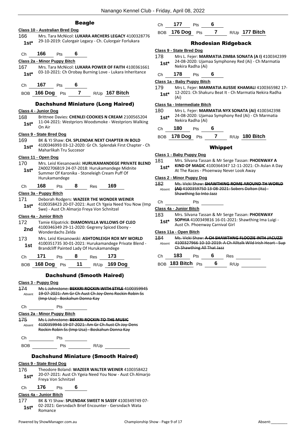|        |                                                 |            | seagic           |     |                                                                                                                     |                         |
|--------|-------------------------------------------------|------------|------------------|-----|---------------------------------------------------------------------------------------------------------------------|-------------------------|
|        | <b>Class 10 - Australian Bred Dog</b>           |            |                  |     |                                                                                                                     |                         |
| 166    |                                                 |            |                  |     | Mrs. Tara McNicol: LUKARA ARCHERS LEGACY 4100328776                                                                 |                         |
| $1st*$ |                                                 |            |                  |     | 29-10-2019: Culorgair Legacy - Ch. Culorgair Forlukara                                                              |                         |
| Сh     | 166                                             | Pts        | 6                |     |                                                                                                                     | $\overline{\mathsf{C}}$ |
|        | Class 2a - Minor Puppy Bitch                    |            |                  |     |                                                                                                                     |                         |
| 167    |                                                 |            |                  |     | Mrs. Tara McNicol: LUKARA POWER OF FAITH 4100361661                                                                 |                         |
| 1st*   |                                                 |            |                  |     | 03-10-2021: Ch Orobay Burning Love - Lukara Inheritance                                                             |                         |
| Сh     | 167                                             | Pts        | 6                |     |                                                                                                                     | S                       |
| BOB    | <b>166 Dog</b> Pts                              |            | $\overline{7}$   |     | $R/Up$ 167 Bitch                                                                                                    |                         |
|        |                                                 |            |                  |     | <b>Dachshund Miniature (Long Haired)</b>                                                                            | S                       |
|        | Class 4 - Junior Dog                            |            |                  |     |                                                                                                                     |                         |
| 168    |                                                 |            |                  |     | Brittnee Davies: CHENLEI COOKIES N CREAM 2100565204                                                                 |                         |
| $1st*$ | On Air                                          |            |                  |     | 11-04-2021: Westpriors Woodsmoke - Westpriors Walking                                                               |                         |
|        | Class 9 - State Bred Dog                        |            |                  |     |                                                                                                                     |                         |
| 169    |                                                 |            |                  |     | BK & YJ Shaw: CH. SPLENDAK NEXT CHAPTER IN BOLD                                                                     |                         |
| 1st*   | Maharlikah Tru Succesor                         |            |                  |     | 4100346993 03-12-2020: Gr Ch. Splendak First Chapter - Ch                                                           |                         |
|        | Class 11 - Open Dog                             |            |                  |     |                                                                                                                     | $\overline{\mathsf{C}}$ |
| 170    |                                                 |            |                  |     | Mrs. Leisl Kiesanowski: HURUKAMANDEGE PRIVATE BLEND                                                                 |                         |
| 1st*   |                                                 |            |                  |     | ZA002706B19 24-07-2018: Hurukamandege Midnite                                                                       |                         |
|        |                                                 |            |                  |     | Summer Of Karonika - Stoneleigh Cream Puff Of                                                                       |                         |
|        | Hurukamandege                                   |            |                  |     |                                                                                                                     | C<br>1                  |
| Сh     | 168                                             | <b>Pts</b> | 8                | Res | 169                                                                                                                 |                         |
|        | Class 3a - Puppy Bitch                          |            |                  |     |                                                                                                                     |                         |
| 171    |                                                 |            |                  |     | Deborah Rodgers: WAZEER THE WONDER WEINER                                                                           |                         |
| $1st*$ | Swe) - Aust Ch Almarjo Freya Von Schnitzel      |            |                  |     | 4100358423 20-07-2021: Aust Ch Ygeia Need You Now (Imp                                                              | C                       |
|        | Class 4a - Junior Bitch                         |            |                  |     |                                                                                                                     |                         |
| 172    |                                                 |            |                  |     | Tamie Kilpatrick: DIAMONVILLA WILLOWS OF CLEO                                                                       |                         |
| 2nd    |                                                 |            |                  |     | 4100346349 29-11-2020: Gegreny Spiced Ebony -                                                                       |                         |
|        | Wonderdachs Zelda                               |            |                  |     |                                                                                                                     | C                       |
| 173    |                                                 |            |                  |     | Mrs. Leisl Kiesanowski: ASHTONLEIGH ROX MY WORLD                                                                    | 1                       |
| 1st    |                                                 |            |                  |     | 4100351735 30-01-2021: Hurukamandege Private Blend -                                                                |                         |
|        | Brandcliff Painted Lady Of Hurukamandege<br>171 |            | $\boldsymbol{8}$ |     |                                                                                                                     |                         |
| Ch     |                                                 | Pts        |                  | Res | 173<br>BOB 168 Dog Pts 11 R/Up 169 Dog                                                                              |                         |
|        |                                                 |            |                  |     |                                                                                                                     |                         |
|        |                                                 |            |                  |     | <b>Dachshund (Smooth Haired)</b>                                                                                    |                         |
|        | Class 3 - Puppy Dog                             |            |                  |     |                                                                                                                     |                         |
| 174    |                                                 |            |                  |     | Ms L Johnstone: BEKKRI ROCKIN WITH STYLE 4100359945<br>Absent 19 07 2021: Am Gr Ch Aust Ch Joy Dens Rockin Robin Ss |                         |
|        | (Imp Usa) - Boskahun Donna Kay                  |            |                  |     |                                                                                                                     |                         |
| Ch     | $P$ ts                                          |            |                  |     |                                                                                                                     |                         |
|        | Class 2a - Minor Puppy Bitch                    |            |                  |     |                                                                                                                     |                         |

Beagle

175 Ms L Johnstone: **BEKKRI ROCKIN TO THE MUSIC** 4100359946 19-07-2021: Am Gr Ch Aust Ch Joy-Dens Rockin Robin Ss (Imp Usa) - Boskahun Donna Kay Absent

Ch Pts BOB Pts R/Up

#### Dachshund Miniature (Smooth Haired)

#### **Class 9 - State Bred Dog**

176 Theodore Boland: **WAZEER WALTER WEINER** 4100358422 20-07-2021: Aust Ch Ygeia Need You Now - Aust Ch Almarjo Freya Von Schnitzel **1st\***

Ch **176** Pts **6**

#### **Class 4a - Junior Bitch**

177 BK & YJ Shaw: **SPLENDAK SWEET N SASSY** 4100349749 07- 02-2021: Gersndach Brief Encounter - Gersndach Wata 1st<sup>\*</sup> <sup>02-2021:</sup><br>Romance

Ch **177** Pts **6**

#### BOB **176 Dog** Pts **7** R/Up **177 Bitch**

#### Rhodesian Ridgeback

#### **Class 9 - State Bred Dog**

- 178 Mrs L. Fejer: **MARMATIA ZIMBA SONATA (A I)** 4100342399 24-08-2020: Ujamaa Symphoney Red (Ai) - Ch Marmatia
- Nekira Radha (Ai) **1st\*** Ch **178** Pts **6**

#### **Class 1a - Baby Puppy Bitch**

179 Mrs L. Fejer: **MARMATIA AUSSIE KHAMALI** 4100365982 17- 12-2021: Ch Shakuru Beat It - Ch Marmatia Nekira Radha (Ai) **1st\***

#### **Class 5a - Intermediate Bitch**

- 180 Mrs L. Fejer: **MARMATIA NYX SONATA (AI)** 4100342398 24-08-2020: Ujamaa Symphony Red (Ai) - Ch Marmatia Nekira Radha (Ai) **1st\***
- Ch **180** Pts **6**
- BOB **178 Dog** Pts **7** R/Up **180 Bitch**

#### Whippet

#### **Class 1 - Baby Puppy Dog**

- 181 Mrs. Silvana Tassan & Mr Serge Tassan: **PHOENWAY A** 
	- **KIND OF MAGIC** 4100364347 12-11-2021: Ch Aslan A Day **1st\*** KIND OF MAGIC 4100364347 12-11-2021: Q<br>At The Races - Phoenway Never Look Away

#### **Class 2 - Minor Puppy Dog**

| <b>182</b> | Ms. Vicki Shaw: SHAWTHING ROME AROUND TH WORLD                            |
|------------|---------------------------------------------------------------------------|
| Absent     | (AI) 4100359750 13 08 2021: Sobers Dalton (Ita)<br>Shawthing So Into Jazz |

Ch Pts

#### **Class 4a - Junior Bitch**

- 183 Mrs. Silvana Tassan & Mr Serge Tassan: **PHOENWAY**
- **SOPHIA** 4100349816 16-01-2021: Shawthing Ima Luigi 1st\* SUPHIA 4100349816 16-01-2021<br>Aust Ch. Phoenway Carnival Girl

#### **Class 11a - Open Bitch**

184 Ms. Vicki Shaw: **A CH SHAWTHNG FLOOZIE INTH JACUZZI** 4100327966 10-10-2019: A Ch Alltalk Wild Irish Heart - Sup Ch Shawthing All That Jazz Absent

| Ch. | 183               | <b>Pts</b> |   | Res  |  |
|-----|-------------------|------------|---|------|--|
|     | BOB 183 Bitch Pts |            | 6 | R/Up |  |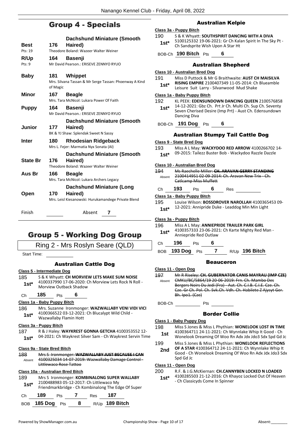## Group 4 - Specials

|                 |          | <b>Dachshund Miniature (Smooth</b>                     |
|-----------------|----------|--------------------------------------------------------|
| <b>Best</b>     | 176      | Haired)                                                |
| Pts: 19         |          | Theodore Boland: Wazeer Walter Weiner                  |
| R/Up            | 164      | <b>Basenji</b>                                         |
| Pts:9           |          | Mr David Pearson.: ERISEVE ZENNYO RYUO                 |
| Baby            | 181      | Whippet                                                |
|                 | of Magic | Mrs. Silvana Tassan & Mr Serge Tassan: Phoenway A Kind |
| <b>Minor</b>    | 167      | <b>Beagle</b>                                          |
|                 |          | Mrs. Tara McNicol: Lukara Power Of Faith               |
| <b>Puppy</b>    | 164      | <b>Basenji</b>                                         |
|                 |          | Mr David Pearson.: ERISEVE ZENNYO RYUO                 |
|                 |          | <b>Dachshund Miniature (Smooth</b>                     |
| <b>Junior</b>   | 177      | Haired)                                                |
|                 |          | BK & YJ Shaw: Splendak Sweet N Sassy                   |
| Inter           | 180      | Rhodesian Ridgeback                                    |
|                 |          | Mrs L. Fejer: Marmatia Nyx Sonata (AI)                 |
|                 |          | <b>Dachshund Miniature (Smooth</b>                     |
| <b>State Br</b> | 176      | Haired)                                                |
|                 |          | Theodore Boland: Wazeer Walter Weiner                  |
| Aus Br          | 166      | <b>Beagle</b>                                          |
|                 |          | Mrs. Tara McNicol: Lukara Archers Legacy               |
|                 |          | <b>Dachshund Miniature (Long</b>                       |
| Open            | 170      | Haired)                                                |
|                 |          | Mrs. Leisl Kiesanowski: Hurukamandege Private Blend    |
| Finish          |          | Absent<br>7                                            |

## Group 5 - Working Dog Group

Ring 2 - Mrs Roslyn Seare (QLD)

Start Time:

#### Australian Cattle Dog

#### **Class 5 - Intermediate Dog**

- 185 S & K Whyatt: **CH MORVIEW LETS MAKE SUM NOISE**
	- 4100337990 17-06-2020: Ch Morview Lets Rock N Roll **1st**\* 4100337990 17-06-2020: 0<br>Morview Outback Shadow

#### Ch **185** Pts **6**

#### **Class 1a - Baby Puppy Bitch**

186 Mrs. Suzanne Ironmonger: **WAZWALLABY VENI VIDI VICI** 4100366522 03-12-2021: Ch Blucalypt Wild Child - Wazwallaby Flamin Hott **1st\***

#### **Class 3a - Puppy Bitch**

187 R & J Haley: **WAYKREST GONNA GETCHA** 4100353552 12- 04-2021: Ch Waykrest Silver Sam - Ch Waykrest Servin Time **1st\***

#### **Class 9a - State Bred Bitch**

188 Mrs S Ironmonger: **WAZWALLABY JUST BECAUSE I CAN** 4100325034 14-07-2019: Wazwallaby Damage Control - Littlewaco Rose Tattoo Absent

#### **Class 10a - Australian Bred Bitch**

189 Mrs S Ironmonger: **KOMBINALONG SUPER WALLABY** 2100488983 05-12-2017: Ch Littlewaco My Friendmarkbridge - Ch Kombinalong The Edge Of Super **1st\***

| Ch | 189 | Pts 7 | Res | 187                              |
|----|-----|-------|-----|----------------------------------|
|    |     |       |     | BOB 185 Dog Pts 8 R/Up 189 Bitch |

#### Australian Kelpie

- **Class 3a - Puppy Bitch**
- 190 S & K Whyatt: **SOUTHSPIRIT DANCING WITH A DIVA** 5100125332 19-06-2021: Gr Ch Kalan Spirit In The Sky Pt - 1st\* 5100125332 19-06-2021: Gr Ch Kali<br>Ch Sandsprite Wish Upon A Star Ht

BOB-Ch **190 Bitch** Pts **6**

#### Australian Shepherd

#### **Class 10 - Australian Bred Dog** 191 Miss D Puttock & Mr G Braithwaite: **AUST CH MAISILVA**

**RISING EMPIRE** 2100407349 11-05-2014: Ch Blueamble Leisure Suit Larry - Silvanwood Mud Shake **1st\***

#### **Class 1a - Baby Puppy Bitch**

- 192 KL PEEK: **EDENSUNDOWN DANCING QUEEN** 2100576858
- 14-12-2021: Gbz Ch. Prt Jr Ch. Multi Ch. Sup Ch. Seventy Seven Cherised Desire (Imp Prt) - Aust Ch. Edensundown Dancing Diva **1st\***

#### BOB-Ch **191 Dog** Pts **6**

#### Australian Stumpy Tail Cattle Dog

#### **Class 9 - State Bred Dog**

- 193 Miss A L May: **WACKYDOO RED ARROW** 4100266702 14-
	- 09-2015: Tailezz Buster Bob Wackydoo Razzle Dazzle **1st\***

#### **Class 10 - Australian Bred Dog**

- 194 Ms Raechelle Miller: **CH. ARAVAN GERRY STANDING** 2100414951 02-09-2014: Ch. Aravan New Trix - Ch. Catlcamp Miss Muffett Absent
- Ch **193** Pts **6** Res

#### **Class 1a - Baby Puppy Bitch**

195 Louise Wilson: **BOSSDROVER NAROLLAH** 4100365453 09- 1st\* 12-2021: Annipride Duke - Leaddog Min Min Light

#### **Class 3a - Puppy Bitch**

196 Miss A L May: **ANNIEPRIDE TRAILER PARK GIRL** 4100357333 23-06-2021: Ch Karte Mighty Red Man - Anniepride Red Outlaw **1st\***

#### Ch **196** Pts **6**

BOB **193 Dog** Pts **7** R/Up **196 Bitch**

#### Beauceron

#### **Class 11 - Open Dog**

197 Mr R Riseley: **CH. GUBERNATOR CANIS MAYRAU (IMP CZE)** CMKU/BC/5864/19 20-06-2019: Frn. Ch. Mambo Des Bergers Noirs Du Jedi (Fra) - Aut. Ch. C.I.B. C.I.E. Cze. Ch. Cze. Gr Ch. Pol. Ch. Svk.Ch. Vdh. Ch. Habilete Z Ajysyt Ger. Bh. Ipo1. (Cze) Absent

#### Border Collie

#### **Class 1 - Baby Puppy Dog**

- 198 Miss S Jones & Miss L Phythian: **WONELOOK LOST IN TIME** 4100364711 24-11-2021: Ch Wynnlake Whip It Good - Ch **1st** 4100364711 24-11-2021: Ch wynniake whip it Good - Ch<br>Wonelook Dreaming Of Woo Rn Adx Jdx Jdo3 Sdx Spd Gd Jc
- 199 Miss S Jones & Miss L Phythian: **WONELOOK REFLECTIONS**
- **OF A STAR** 4100364712 24-11-2021: Ch Wynnlake Whip It Good - Ch Wonelook Dreaming Of Woo Rn Adx Jdx Jdo3 Sdx Spd Gd Jc **2nd**

#### **Class 11 - Open Dog**

#### 200 R.F. & J.G.McKiernan: **CH.CANNYBEN LOCKED N LOADED**

4100285503 21-12-2016: Ch Khayoz Locked Out Of Heaven 1st\* 4100285503 21-12-2016: Ch Kha<br>Ch Classicyds Come In Spinner

BOB-Ch Pts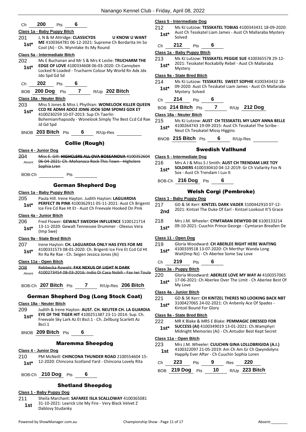| ( :h | 200 |  | ⊬πs |  | 6 |
|------|-----|--|-----|--|---|
|      |     |  |     |  |   |

- **Class 1a - Baby Puppy Bitch** 201 J, N & M Attridge: **CLASSICYDS U KNOW U WANT ME** 4100364781 06-12-2021: Supreme Ch Bordarita Im So **1st\* IVIE** 4100364781 06-12-2021: Suprement<br>Cool (Ai) - Ch. Wynnlake Its My Round **Class 5a - Intermediate Bitch**
- 202 Ms E Buchanan and Mr S & Mrs K Leslie: **TRUCHARM THE EDGE OF LOVE** 4100334608 06-03-2020: Ch Cannyben Locked N Loaded - Trucharm Colour My World Rn Adx Jdx Jdo Spd Gd Sd **1st\***
- Ch **202** Pts **6**

BOB **200 Dog** Pts **7** R/Up **202 Bitch**

- **Class 18a - Neuter Bitch**
- 203 Miss S Jones & Miss L Phythian: **WONELOOK KILLER QUEEN CCD RE ADM4 ADO2 JDM6 JDO6 SDM SPDM3 GDX ET** 4100230259 10-07-2013: Sup Ch Taerlin Bohemianrhapsody - Wonelook Simply The Best Ccd Cd Rae Jd Gd Spd **1st\***

BNOB **203 Bitch** Pts **6** R/Up-Res

#### Collie (Rough)

- **Class 4 - Junior Dog**
- 204 Miss E. Gill: **HIGHCLERE ALL OVA BOSSANOVA** 4100352604 06-04-2021: Ch. Mohanaca Rock This Town - Highclere Sophia Lren Absent
- BOB-Ch Pts

#### German Shepherd Dog

#### **Class 1a - Baby Puppy Bitch**

205 Paula Hill. Irene Hayton. Judith Hayton: **LAGUARDIA PERFECT IN PINK** 4100362911 05-11-2021: Aust Ch Brigenti **1st\* PERFELT IN PINK** 4100362911 05-11-2021: Aust Ch Bright Ice Fire Cd Rae Ht Et - Aust Ch Freevale Hooked On Pink

#### **Class 4a - Junior Bitch**

206 Fred Flower: **GEWALT SWEDISH INFLUENCE** 5100121714 13-11-2020: Gewalt Tennessee Drummer - Olexius Vera (Imp Swe) **1st\***

#### **Class 9a - State Bred Bitch**

207 Irene Hayton: **CH. LAGUARDIA ONLY HAS EYES FOR ME** 4100331573 08-01-2020: Ch. Brigenti Ice Fire Et Ccd Cd Ht Rn Ra Re Rae - Ch. Seigen Jessica Jones (Ai) **1st\***

#### **Class 11a - Open Bitch**

- 208 Rebbecka Rowett: **FAX NEXUS OF LIGHT N DARK**
	- Absent 4100273454 08-03-2016: Indio Di Casa Nobili Fax Iwi Toula

BOB-Ch **207 Bitch** Pts **7** R/Up-Res **206 Bitch**

### German Shepherd Dog (Long Stock Coat)

#### **Class 18a - Neuter Bitch**

- 209 Judith & Irene Hayton: **AUST. CH. NEUTER CH. LA GUARDIA EYE OF THE TIGER HIT** 4100251387 23-11-2014: Sup. Ch. Freevale Sky Lark Az Et Bscl.1 - Ch. Zellburg Scarlett Az Bscl.1 **1st\***
- BNOB **209 Bitch** Pts **6**

#### Maremma Sheepdog

- **Class 4 - Junior Dog**
- 210 PM McNeill: **CHINCONA THUNDER ROAD** 2100554604 15- 1st\* 12-2020: Chincona Scotland Yard - Chincona Lovely Rita
- BOB-Ch **210 Dog** Pts **6**

#### Shetland Sheepdog

#### **Class 1 - Baby Puppy Dog**

211 Sheila Marchant: **SAFAREE ISLA SCALLOWAY** 4100365081 31-10-2021: Learick Lite My Fire - Very Black Velvet Z **1st 1914** Dablovy Studanky

#### **Class 5 - Intermediate Dog**

- 212 Ms KJ Lutzow: **TESSKATEL TOBIAS** 4100343431 18-09-2020: Aust Ch Tesskatel Liam James - Aust Ch Mallaraba Mystery 1st<sup>\*</sup> Aust C<sub>Solved</sub>
- Ch **212** Pts **6**

#### **Class 1a - Baby Puppy Bitch**

213 Ms KJ Lutzow: **TESSKATEL PEGGIE SUE** 4100365578 29-12- 2021: Tesskatel Rockabilly Rebel - Aust Ch Mallaraba 1st<sup>\*</sup> <sup>2021:16</sup><br>Mystery

#### **Class 9a - State Bred Bitch**

214 Ms KJ Lutzow: **TESSKATEL SWEET SOPHIE** 4100343432 18- 09-2020: Aust Ch Tesskatel Liam James - Aust Ch Mallaraba 1st<sup>\*</sup> U<sup>9-2020</sup>: Aust Cross August 2014

Ch **214** Pts **6**

| BOB 214 Bitch Pts |  | R/Up 212 Dog |
|-------------------|--|--------------|
|                   |  |              |

#### **Class 18a - Neuter Bitch**

- 215 Ms KJ Lutzow: **AUST CH TESSKATEL MY LADY ANNA BELLE** 4100264743 19-09-2015: Aust Ch Tesskatel The Scribe -
	- 1st\* 4100264743 19-09-2015: Aust C<br>Neut Ch Tesskatel Missy Higgins

BNOB **215 Bitch** Pts **6** R/Up-Res

#### Swedish Vallhund

- **Class 5 - Intermediate Dog**
- 216 Mrs A J & Miss S J Smith: **AUST CH TRENDAM LIKE TOY SOLDIERS** 4100330410 04-12-2019: Gr Ch Vallarity Fox N **Sox** - Aust Ch Trendam I Luv It
- BOB-Ch **216 Dog** Pts **6**

#### Welsh Corgi (Pembroke)

- **Class 1 - Baby Puppy Dog**
- 217 GD & SK Kerr: **KINTZEL DARK VADER** 3100442910 07-12- 2021: Kintzel The Duke Of Earl - Kintzel Lookout It'S Grace **2nd**
- 218 Mrs J.M. Wheeler: **CYMTARAN DEWYDD DE** 6100133214
- 09-10-2021: Cuuchin Prince George Cymtaran Breallen De **1st\***

#### **Class 11 - Open Dog**

- 219 Gloria Woodward: **CH ABERLEE RIGHT HERE WAITING** 4100339518 13-07-2020: Ch Merthyr Wanda Long Wait(Imp Nz) - Ch Aberlee Some Say Love **1st\***
- 
- Ch **219** Pts **6**

#### **Class 3a - Puppy Bitch**

220 Gloria Woodward: **ABERLEE LOVE MY WAY AI** 4100357065 17-06-2021: Ch Aberlee Over The Limit - Ch Aberlee Best Of 1st<sup>\*</sup> <sup>17-00-20</sup><br>My Love

#### **Class 4a - Junior Bitch**

221 GD & SK Kerr: **CH KINTZEL THERES NO LOOKING BACK NBT** 3100427065 24-02-2021: Ch Anbenly Ace Of Spades - Kintzel Bound For Glory **1st\***

#### **Class 9a - State Bred Bitch**

- 222 MR K Blake & MRS E Blake: **PEMMAGIC DRESSED FOR SUCCESS (AI)** 4100349019 13-01-2021: Ch.Wamphyri Midnight Memories (Ai) - Ch.Antudor Best Kept Secret **1st\***
	-

#### **Class 11a - Open Bitch**

- 223 Mrs J.M. Wheeler: **CUUCHIN GINA LOLLOBRIGIDA (A.I.)** 4100322097 21-05-2019: Am Ch Am Gr Ch Qwyndolyns
	- Happily Ever After Ch Cuuchin Sophia Loren **1st**

| Ch $223$ Pts       | - 9 | Res 220          |
|--------------------|-----|------------------|
| BOB 219 Dog Pts 10 |     | $R/Up$ 223 Bitch |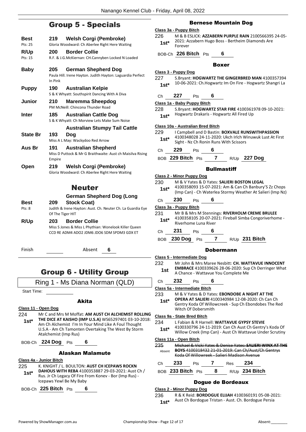# Group 5 - Specials

|                                 | בוסוטסוט - ט קווטוט                                                                   |
|---------------------------------|---------------------------------------------------------------------------------------|
| Best                            | <b>Welsh Corgi (Pembroke)</b><br>219                                                  |
| Pts: 25                         | Gloria Woodward: Ch Aberlee Right Here Waiting                                        |
| R/Up                            | <b>Border Collie</b><br>200                                                           |
| Pts: 15                         | R.F. & J.G.McKiernan: CH.Cannyben Locked N Loaded                                     |
| <b>Baby</b>                     | 205<br><b>German Shepherd Dog</b>                                                     |
|                                 | Paula Hill. Irene Hayton. Judith Hayton: Laguardia Perfect                            |
|                                 | In Pink                                                                               |
| <b>Puppy</b>                    | <b>Australian Kelpie</b><br>190                                                       |
|                                 | S & K Whyatt: Southspirit Dancing With A Diva                                         |
| <b>Junior</b>                   | 210<br>Maremma Sheepdog<br>PM McNeill: Chincona Thunder Road                          |
| Inter                           | 185 —<br><b>Australian Cattle Dog</b><br>S & K Whyatt: Ch Morview Lets Make Sum Noise |
|                                 | <b>Australian Stumpy Tail Cattle</b>                                                  |
| <b>State Br</b>                 | 193<br>Doa                                                                            |
|                                 | Miss A L May: Wackydoo Red Arrow                                                      |
| Aus Br                          | <b>Australian Shepherd</b><br>191                                                     |
|                                 | Miss D Puttock & Mr G Braithwaite: Aust ch Maisilva Rising<br>Empire                  |
| Open                            | <b>Welsh Corgi (Pembroke)</b><br>219                                                  |
|                                 | Gloria Woodward: Ch Aberlee Right Here Waiting                                        |
|                                 |                                                                                       |
|                                 | <b>Neuter</b>                                                                         |
|                                 | <b>German Shepherd Dog (Long</b>                                                      |
| Best                            | <b>Stock Coat)</b><br>209                                                             |
| Pts: 8                          | Judith & Irene Hayton: Aust. Ch. Neuter Ch. La Guardia Eye<br>Of The Tiger HIT        |
| R/Up                            | <b>Border Collie</b><br>203                                                           |
|                                 | Miss S Jones & Miss L Phythian: Wonelook Killer Queen                                 |
|                                 | CCD RE ADM4 ADO2 JDM6 JDO6 SDM SPDM3 GDX ET                                           |
|                                 |                                                                                       |
| Finish                          | Absent<br>6                                                                           |
|                                 |                                                                                       |
|                                 |                                                                                       |
|                                 |                                                                                       |
|                                 | <b>Group 6 - Utility Group</b>                                                        |
|                                 | Ring 1 - Ms Diana Norman (QLD)                                                        |
| <b>Start Time:</b>              |                                                                                       |
|                                 |                                                                                       |
|                                 | Akita                                                                                 |
| Class 11 - Open Dog<br>224      | Mr C and Mrs M Moffat: AM AUST CH ALCHEMIST ROLLING                                   |
|                                 | THE DICE AT KAISHO (IMP U.S.A) WS65297401 03-10-2018:                                 |
| $1st^*$                         | Am Ch Alchemist I'm In Your Mind Like A Foul Thought                                  |
|                                 | U.S.A - Am Ch Tamonten Overtaking The West By Storm                                   |
|                                 | Atalchemist (Imp Rus)                                                                 |
|                                 | BOB-Ch 224 Dog Pts 6                                                                  |
|                                 | Alaskan Malamute                                                                      |
| <u> Class 4a - Junior Bitch</u> |                                                                                       |
| つつに                             | <b><i>V. KNICHT / L. BOLILTON: ALIST CH ICEDAMIS BOCKNI</i></b>                       |

225 K. KNIGHT / L. BOULTON: AUST CH ICEPAWS RC **DAHOUS WITH REBA** 4100353887 29-03-2021: Aust Ch / Rus. Jr Ch Legacy Of Fire From Konev - Bor (Imp Rus) - Icepaws Yewl Be My Baby **1st\***

BOB-Ch **225 Bitch** Pts **6**

#### Bernese Mountain Dog

#### **Class 3a - Puppy Bitch**

226 M & B ESLICK: **AZZABERN PURPLE RAIN** 2100566395 24-05- 2021: Azzabern Hugo Boss - Bertheim Diamonds Are 1st<sup>\*</sup> <sup>2021: A</sup><br>Forever

BOB-Ch **226 Bitch** Pts **6**

#### Boxer

#### **Class 3 - Puppy Dog**

227 S.Bryant: **HOGWARTZ THE GINGERBRED MAN** 4100357394 10-06-2021: Ch.Hogwartz Im On Fire - Hogwartz Shangri La **1st\***

#### Ch **227** Pts **6**

#### **Class 1a - Baby Puppy Bitch**

228 S.Bryant: **HOGWARTZ STAR FIRE** 4100361978 09-10-2021: Hogwartz Drakaris - Hogwartz All Fired Up **1st\***

#### **Class 10a - Australian Bred Bitch**

| 229<br>$1st*$ |     |                 | I Campbell and D Bastin: BOXVALE RUNSWITHPASSION<br>4100348028 24-11-2020: Ukch Irlch Winuwuk Lust At First<br>Sight - Nz Ch Ronin Runs With Scissors |
|---------------|-----|-----------------|-------------------------------------------------------------------------------------------------------------------------------------------------------|
| Ch            | 229 | P <sub>ts</sub> |                                                                                                                                                       |

BOB **229 Bitch** Pts **7** R/Up **227 Dog**

#### **Bullmastiff**

|                |     | Class 2 - Minor Puppy Dog |   |                                                                                                                     |
|----------------|-----|---------------------------|---|---------------------------------------------------------------------------------------------------------------------|
| 230            |     |                           |   | M & V Yates & D Yates: SALIERI BOSTON LEGAL                                                                         |
| $1st^*$        |     |                           |   | 4100358093 15-07-2021: Am & Can Ch Banbury'S Zz Chops<br>(Imp Can) - Ch Waterlea Stormy Weather At Salieri (Imp Nz) |
| C <sub>h</sub> | 230 | <b>Pts</b>                | 6 |                                                                                                                     |

#### **Class 3a - Puppy Bitch**

| 231<br>$1st*$ |      | Riverhome Luna River |   | Mr B & Mrs M Stennings: RIVERHOLM CREME BRULEE<br>4100358105 20-07-2021: Fireball Simba Congoriverhome - |
|---------------|------|----------------------|---|----------------------------------------------------------------------------------------------------------|
| Ch            | -231 | <b>Pts</b>           | 6 |                                                                                                          |

## BOB **230 Dog** Pts **7** R/Up **231 Bitch**

#### Dobermann

|                | VYGHRAHH                                                                                                                                                                                   |
|----------------|--------------------------------------------------------------------------------------------------------------------------------------------------------------------------------------------|
|                | <b>Class 5 - Intermediate Dog</b>                                                                                                                                                          |
| 232<br>1st     | Mr John & Mrs Maree Nesbitt: CH. WATTAVUE INNOCENT<br><b>EMBRACE</b> 4100339626 28-06-2020: Sup Ch Derringer What<br>A Chance - Wattavue You Complete Me                                   |
| Сh             | 232<br>6<br>Pts                                                                                                                                                                            |
|                | Class 5a - Intermediate Bitch                                                                                                                                                              |
| 233<br>$1st^*$ | M & V Yates & D Yates: EBONDOBE A NIGHT AT THE<br><b>OPERA AT SALIERI 4100340984 12-08-2020: Ch Can Ch</b><br>Gentry Koda Of Willowcreek - Sup Ch Ebondobes The Red<br>Witch Of Dobersmith |
|                | Class 9a - State Bred Bitch                                                                                                                                                                |
| 234<br>$1st^*$ | L Fabian & R Harnell: WATTAVUE GYPSY STEVIE<br>4100330796 24-11-2019: Can Ch Aust Ch Gentry's Koda Of<br>Willow Creek (Imp Can) - Aust Ch Wattavue Under Scrutiny                          |
|                | Class 11a - Open Bitch                                                                                                                                                                     |
| 235<br>Absent  | <u> Michael &amp; Vicki Yates &amp; Denise Yates: <b>SALIERI WINX AT T</b></u><br><b>BOYS</b> 4100318432 21-01-2019: Can Ch/Aust/Ch Gentrys<br>Of Willowreek – Salieri Madison Avenue      |

| Ch. | 233               | <b>Pts</b> | Res | -234             |
|-----|-------------------|------------|-----|------------------|
|     | BOB 233 Bitch Pts |            |     | $R/Up$ 234 Bitch |

#### Dogue de Bordeaux

#### **Class 2 - Minor Puppy Dog**

236 R & K Reid: **BORDOGUE ELIJAH** 4100360191 05-08-2021: Aust Ch Bordogue Tristan - Aust. Ch. Bordogue Persia **1st\***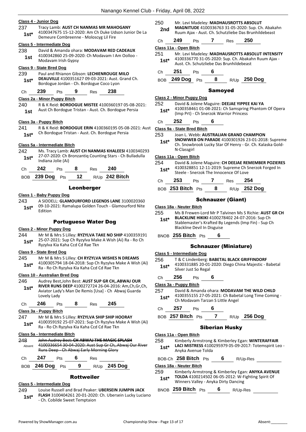#### **Class 4 - Junior Dog**

- 237 Tracy Lamb: **AUST CH NANMAS MR MAHOGANY**
- 4100347675 15-12-2020: Am Ch Duke Udson Junior De La Demeure Combreenne - Moloscyg Lil Fire **1st\***

#### **Class 5 - Intermediate Dog**

238 David & Amanda ohara: **MODAVAM RED CADEAUX** 4100342860 25-09-2020: Ch Modavam I Am Oolloo - Modavam Irish Gypsy **1st**

#### **Class 9 - State Bred Dog**

239 Paul and Rhianon Gibson: **LECHIENROUGE MILO DEAUVILLE** 4100351627 09-03-2021: Aust. Grand Ch. Bordogue Jordan - Ch. Bordogue Coco Lyon **1st\***

#### Ch **239** Pts **9** Res **238**

#### **Class 2a - Minor Puppy Bitch**

240 R & K Reid: **BORDOGUE MISTEE** 4100360197 05-08-2021: Aust Ch Bordogue Tristan - Aust. Ch. Bordogue Persia **1st**

#### **Class 3a - Puppy Bitch**

241 R & K Reid: **BORDOGUE ERIN** 4100360195 05-08-2021: Aust Ch Bordogue Tristan - Aust. Ch. Bordogue Persia **1st\***

#### **Class 5a - Intermediate Bitch**

242 Ms. Tracy Lamb: **AUST CH NANMAS KHALEESI** 4100340293 27-07-2020: Ch Bronzantiq Counting Stars - Ch Bulladulla Indiana Jolie (Ai) **1st\***

| Ch — | $242$ Pts |  | Res 240 |                                   |
|------|-----------|--|---------|-----------------------------------|
|      |           |  |         | BOB 239 Dog Pts 12 R/Up 242 Bitch |

#### Leonberger

#### **Class 1 - Baby Puppy Dog**

243 A SIDDELL: **GLAMOURFORD LEGENDS LANE** 3100020360 09-10-2021: Ramalupa Golden Touch - Glamourford Nite Edition **1st\***

#### Portuguese Water Dog

#### **Class 2 - Minor Puppy Dog**

244 Mr M & Mrs S Lilley: **RYZYLVA TAKE NO SHIP** 4100359191 25-07-2021: Sup Ch Ryzylva Make A Wish (Ai) Ra - Ro Ch Ryzylva Kia Kaha Ccd Cd Rae Tkn **1st\***

#### **Class 9 - State Bred Dog**

245 Mr M & Mrs S Lilley: **CH RYZYLVA WISHES N DREAMS** 4100305794 18-04-2018: Sup Ch Ryzylva Make A Wish (Ai) Ra - Ro Ch Ryzylva Kia Kaha Ccd Cd Rae Tkn **1st\***

#### **Class 10 - Australian Bred Dog**

246 Audrey Best,John Best: **AUST SUP GR CH,.ABWAJ OUR RIVER RUNS DEEP** 4100272724 26-04-2016: Am,Ch,Gr,Ch, Aviator Lady's Man De Remis [Usa] - Ch Abwaj Guarda Lovely Lady **1st\***

| 246<br>⊃ts<br>Res | 245 |
|-------------------|-----|
|-------------------|-----|

#### **Class 3a - Puppy Bitch**

247 Mr M & Mrs S Lilley: **RYZYLVA SHIP SHIP HOORAY** 4100359192 25-07-2021: Sup Ch Ryzylva Make A Wish (Ai) Ra - Ro Ch Ryzylva Kia Kaha Ccd Cd Rae Tkn **1st\***

#### **Class 5a - Intermediate Bitch**

| 248<br>Absent | John Audrey Best: CH ABWAJ THE MAGIC SPLASH<br>4100336654 30-04-2020: Aust Sup Gr Ch, Abwaj Our River<br>Runs Deep - Ch Abwaj Early Morning Glory |     |  |     |                |
|---------------|---------------------------------------------------------------------------------------------------------------------------------------------------|-----|--|-----|----------------|
| C.h           | 247                                                                                                                                               | Pts |  | Res |                |
| <b>BOB</b>    | 246 Dog                                                                                                                                           | Pts |  |     | $R/Up$ 245 Dog |

#### Rottweiler

#### **Class 5 - Intermediate Dog**

249 Louise Russell and Brad Peaker: **UBERSEIN JUMPIN JACK FLASH** 3100404261 20-01-2020: Ch. Ubersein Lucky Luciano

- Ch. Cobilde Sweet Temptaion **1st\***

250 Mr. Levi Madeley: **MADHAUSROTTS ABSOLUT MAGNITUDE** 4100336763 31-05-2020: Sup. Ch. Abakahn **2nd MAGNITUDE** 4100336763 31-05-2020: Sup. Ch. Abaka<br>Ruum Ajax - Aust. Ch. Schutzliebe Das Brunhildebeast

| Ch.   | 249                    | <b>Pts</b> | Res | 250 |                                                     |
|-------|------------------------|------------|-----|-----|-----------------------------------------------------|
|       | Class 11a - Open Bitch |            |     |     |                                                     |
| 251   |                        |            |     |     | Mr. Levi Madeley: MADHAUSROTTS ABSOLUT INTENSITY    |
| $1c+$ |                        |            |     |     | 4100336770 31-05-2020: Sup. Ch. Abakahn Ruum Ajax - |

Aust. Ch. Schutzliebe Das Brunhildebeast **1st\***

Ch **251** Pts **6**

BOB **249 Dog** Pts **8** R/Up **250 Dog**

#### Samoyed

#### **Class 2 - Minor Puppy Dog**

252 David & Jolene Maguire: **DEEJAE YIPPEE KAI YA** 4100358461 01-08-2021: Ch Samspring Phantom Of Opera (Imp Prt) - Ch Snerzok Warrior Princess **1st\***

#### Ch **252** Pts **6**

**Class 9a - State Bred Bitch**

- 253 Joan L. Webb: **AUSTRALIAN GRAND CHAMPION**
- **SNOWWEB ON PARADE** 4100301926 23-01-2018: Supreme Ch. Snowbrook Lucky Star Of Henry - Gr. Ch. Kalaska Gold-N-Classgirl **1st\***

#### **Class 11a - Open Bitch**

- 254 David & Jolene Maguire: **CH DEEJAE REMEMBER POZIERES** 4100328851 12-11-2019: Supreme Ch Snerzok Forged In
- Steele Snerzok The Innocence Of Love **1st\***

| Сh | - -<br>כנ |  | 39. | __ |
|----|-----------|--|-----|----|
|    |           |  |     |    |

BOB **253 Bitch** Pts **8** R/Up **252 Dog**

#### Schnauzer (Giant)

#### **Class 18a - Neuter Bitch**

- 255 Ms B Frewen-Lord Mr P Talvinen Ms S Richie: **AUST GR CH** 
	- **BLACKLINE HIKIKI** 4100278402 24-07-2016: Sup Ch Stablemaster's Krafted By Legends (Imp Fin) - Sup Ch Blackline Devil In Disguise **1st\***
- BNOB **255 Bitch** Pts **6**

#### Schnauzer (Miniature)

#### **Class 5 - Intermediate Dog**

- 256 T & C Lindenberg: **BABETAL BLACK GRIFFINDORF** 4100331885 20-01-2020: Diego China Majestic - Babetal
- **1st**\* 4100331885 20-01<br>Silver Just So Regal
- Ch **256** Pts **6**
- **Class 3a - Puppy Bitch**
- 257 David & Amanda ohara: **MODAVAM THE WILD CHILD** 4100355155 27-05-2021: Ch Babetal Long Time Coming -
- Ch Modavam Tarzan S Little Angel **1st\***
- 
- BOB **257 Bitch** Pts **7** R/Up **256 Dog**

#### Siberian Husky

#### **Class 11a - Open Bitch**

- 258 Kimberly Armstrong & Kimberley Egan: **WINTERAFFAIR LACI MISTRESS** 4100295979 05-09-2017: Totemspirit Leo - Anyka Avenue Tolda **1st\***
- BOB-Ch **258 Bitch** Pts **6** R/Up-Res

#### **Class 18a - Neuter Bitch**

259 Kimberly Armstrong & Kimberley Egan: **ANYKA AVENUE TOLDA** 4100214502 06-05-2012: W-Fighting Spirit Of Winners Valley - Anyka Dirty Dancing **1st\***

BNOB **259 Bitch** Pts **6** R/Up-Res

- - Ch **257** Pts **6**
		-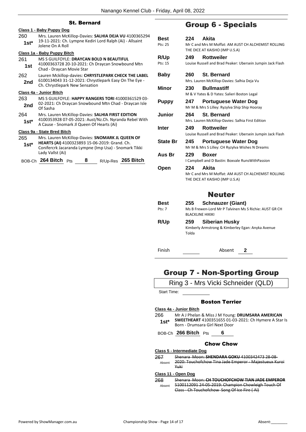### St. Bernard

|                | Class 1 - Baby Puppy Dog                                                                                                                                   |  |  |  |  |  |
|----------------|------------------------------------------------------------------------------------------------------------------------------------------------------------|--|--|--|--|--|
| 260            | Mrs. Lauren McKillop-Davies: SALHIA DEJA VU 4100365294<br>19-11-2021: Ch. Lympne Kediri Lord Ralph (Ai) - Allsaint                                         |  |  |  |  |  |
| $1st^*$        | Jolene On A Roll                                                                                                                                           |  |  |  |  |  |
|                | Class 1a - Baby Puppy Bitch                                                                                                                                |  |  |  |  |  |
| 261            | MS S GUILFOYLE: <b>DRAYCAN BOLD N BEAUTIFUL</b>                                                                                                            |  |  |  |  |  |
| 1st            | 41000363728 20-10-2021: Ch Draycan Snowbound Mtn<br>Chad - Draycan Movie Star                                                                              |  |  |  |  |  |
| 262            | Lauren Mckillop-davies: CHRYSTLEPARK CHECK THE LABEL                                                                                                       |  |  |  |  |  |
| 2nd            | 6100134043 31-12-2021: Chrystlepark Easy On The Eye -<br>Ch. Chrystlepark New Sensation                                                                    |  |  |  |  |  |
|                | Class 4a - Junior Bitch                                                                                                                                    |  |  |  |  |  |
| 263            | MS S GUILFOYLE: <b>HAPPY RANGERS TORI</b> 41000361529 03-                                                                                                  |  |  |  |  |  |
| 2nd            | 02-2021: Ch Draycan Snowbound Mtn Chad - Draycan Isle<br>Of Sasha                                                                                          |  |  |  |  |  |
| 264            | Mrs. Lauren McKillop-Davies: SALHIA FIRST EDITION                                                                                                          |  |  |  |  |  |
| $1st^*$        | 4100353928 07-05-2021: Aust/Nz.Ch. Nyranda Rebel With<br>A Cause - Snomark Jl Queen Of Hearts (Ai)                                                         |  |  |  |  |  |
|                | Class 9a - State Bred Bitch                                                                                                                                |  |  |  |  |  |
| 265<br>$1st^*$ | Mrs. Lauren McKillop-Davies: SNOMARK JL QUEEN OF<br>HEARTS (AI) 4100323893 15-06-2019: Grand. Ch.<br>Conifercrk Jacaranda Lympne (Imp Usa) - Snomark Tikki |  |  |  |  |  |
|                | Lady Vallst (Ai)                                                                                                                                           |  |  |  |  |  |
|                | BOB-Ch 264 Bitch Pts<br>8<br>R/Up-Res 265 Bitch                                                                                                            |  |  |  |  |  |

# Group 6 - Specials

| Best<br>Pts: 25        | Akita<br>224<br>Mr C and Mrs M Moffat: AM AUST CH ALCHEMIST ROLLING<br>THE DICE AT KAISHO (IMP U.S.A)                |
|------------------------|----------------------------------------------------------------------------------------------------------------------|
| <b>R/Up</b><br>Pts: 15 | Rottweiler<br>249<br>Louise Russell and Brad Peaker: Ubersein Jumpin Jack Flash                                      |
| <b>Baby</b>            | 260<br><b>St. Bernard</b><br>Mrs. Lauren McKillop-Davies: Salhia Deja Vu                                             |
| Minor                  | <b>Bullmastiff</b><br>230<br>M & V Yates & D Yates: Salieri Boston Legal                                             |
| <b>Puppy</b>           | 247<br><b>Portuguese Water Dog</b><br>Mr M & Mrs S Lilley: Ryzylva Ship Ship Hooray                                  |
| Junior                 | <b>St. Bernard</b><br>264<br>Mrs. Lauren McKillop-Davies: Salhia First Edition                                       |
| <b>Inter</b>           | <b>Rottweiler</b><br>249<br>Louise Russell and Brad Peaker: Ubersein Jumpin Jack Flash                               |
| <b>State Br</b>        | 245<br><b>Portuguese Water Dog</b><br>Mr M & Mrs S Lilley: CH Ryzylva Wishes N Dreams                                |
| Aus Br                 | 229<br>Boxer<br>I Campbell and D Bastin: Boxvale RunsWithPassion                                                     |
| Open                   | Akita<br>224<br>Mr C and Mrs M Moffat: AM AUST CH ALCHEMIST ROLLING<br>THE DICE AT KAISHO (IMP U.S.A)                |
|                        | <b>Neuter</b>                                                                                                        |
| <b>Best</b><br>Pts: 7  | <b>Schnauzer (Giant)</b><br>255<br>Ms B Frewen-Lord Mr P Talvinen Ms S Richie: AUST GR CH<br><b>BLACKLINE HIKIKI</b> |
| R/Up                   | 259<br>Siberian Husky<br>Kimberly Armstrong & Kimberley Egan: Anyka Avenue<br>Tolda                                  |
| Finish                 | Absent<br>2                                                                                                          |

# Group 7 - Non-Sporting Group

|               | Ring 3 - Mrs Vicki Schneider (QLD)                                                                                                                  |
|---------------|-----------------------------------------------------------------------------------------------------------------------------------------------------|
| Start Time:   |                                                                                                                                                     |
|               | <b>Boston Terrier</b>                                                                                                                               |
|               | Class 4a - Junior Bitch                                                                                                                             |
| 266<br>$1st*$ | Mr A J Phelan & Miss J M Young: DRUMSARA AMERICAN<br><b>SWEETHEART</b> 4100351655 01-03-2021: Ch Hymere A Star Is<br>Born - Drumsara Girl Next Door |
|               | BOB-Ch 266 Bitch Pts<br>6                                                                                                                           |
|               | <b>Chow Chow</b>                                                                                                                                    |
|               | Class 5 - Intermediate Dog                                                                                                                          |
| 267<br>Absent | Shenara Moon: SHENDARA GOKU 4100342473 28 08<br>2020: Touchofchow Tina Jade Emperor - Majestueux Kuroi<br>Yuki                                      |
|               | Class 11 - Open Dog                                                                                                                                 |
| 268<br>Ahsent | Shenara Moon: CH TOUCHOFCHOW TIAN IADE EN<br>5100112091 24-05-2019: Champion Chowleigh Touc<br>Class - Ch Touchofchow Song Of Ice Fire              |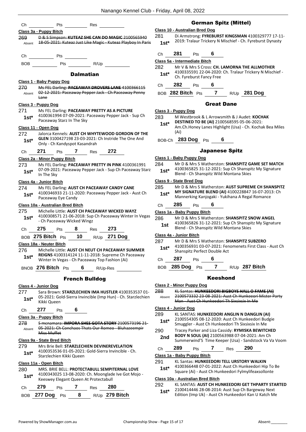|               | Res<br>Pts                                                                                                             |               | G<br>Class 10 - Australian                |
|---------------|------------------------------------------------------------------------------------------------------------------------|---------------|-------------------------------------------|
|               | Class 3a - Puppy Bitch                                                                                                 | 281           | Di Armstroi                               |
| 269<br>Absent | D & S Simpson: KUTEAZ SHE CAN DO MAGIC 2100565940<br>18-05-2021: Kuteaz Just Like Magic - Kuteaz Playboy In Paris      | $1st^*$       | 2019: Trala                               |
| Ch            | Pts                                                                                                                    | Сh            | 281<br>P                                  |
| <b>BOB</b>    | Pts and the state of the state of the state of the state of the state of the state of the state of the state o<br>R/Up | 282           | Class 5a - Intermedia<br>Mr V & Mrs       |
|               | <b>Dalmatian</b>                                                                                                       | $1st*$        | 410033559<br>Ch. Fyrebur                  |
|               | Class 1 - Baby Puppy Dog                                                                                               |               | 282<br>P                                  |
| 270           | Ms FEL Darling: PACEAWAY DROVERS LANE 4100366115                                                                       | Ch            |                                           |
| Absent        | 02 12 2021: Paceaway Pepper Jack Ch Paceaway Penny<br><del>Lane</del>                                                  |               | BOB 282 Bitch                             |
|               | Class 3 - Puppy Dog                                                                                                    |               |                                           |
| 271           | Ms FEL Darling: PACEAWAY PRETTY AS A PICTURE                                                                           |               | Class 3 - Puppy Dog                       |
| $1st^*$       | 4100361994 07-09-2021: Paceaway Pepper Jack - Sup Ch<br>Paceaway Starz In The Sky                                      | 283           | M Westbro                                 |
|               | Class 11 - Open Dog                                                                                                    | $1st^*$       | <b>DESTINED</b><br>Am.Ch.Hon<br>(Ai)      |
| 272           | Jalorca Kennels: AUST CH WHYTEWOOD GORDON OF THE<br>GLEN 3100427198 23-03-2021: Ch Instride The One And                |               |                                           |
| $1st^*$       | Only - Ch Kandyspot Kasandrah                                                                                          | BOB-Ch        | 283 Dog                                   |
| Ch            | <b>7</b> Res<br>272<br>271<br><b>Pts</b>                                                                               |               |                                           |
|               | Class 2a - Minor Puppy Bitch                                                                                           |               | Class 1 - Baby Puppy                      |
| 273           | Ms FEL Darling: PACEAWAY PRETTY IN PINK 4100361991<br>07-09-2021: Paceaway Pepper Jack - Sup Ch Paceaway Starz         | 284           | Mr D & Mrs<br>410036582                   |
| 1st*          | In The Sky                                                                                                             | $1st*$        | Blend - Ch 9                              |
|               | Class 4a - Junior Bitch                                                                                                |               | Class 9 - State Bred I                    |
| 274           | Ms FEL Darling: AUST CH PACEAWAY CANDY CANE                                                                            | 285           | Mr D & Mrs                                |
| 1st*          | 4100346933 21-11-2020: Paceaway Pepper Jack - Aust Ch<br>Paceaway Eye Candy                                            | $1st*$        | <b>MY SIGNAT</b><br>Mannerking            |
|               | Class 10a - Australian Bred Bitch                                                                                      | Ch            | 285<br>$\mathsf{P}$                       |
| 275           | Michelle Little: AUST CH PACEAWAY WICKED WAYZ<br>4100308571 21-06-2018: Sup Ch Paceaway Winter In Vegas                |               | Class 1a - Baby Pupp                      |
| $1st^*$       | - Ch Paceaway Wicked Wingz                                                                                             | 286<br>1st    | Mr D & Mrs<br>410036582                   |
| Ch            | 275<br>8<br>273<br>Res<br><b>Pts</b>                                                                                   |               | Blend - Ch 9                              |
|               | BOB 275 Bitch Pts 10<br>R/Up 271 Dog                                                                                   |               | Class 4a - Junior Bito                    |
|               | Class 18a - Neuter Bitch                                                                                               | 287           | Mr D & Mrs<br>410035693                   |
| 276           | Michelle Little: AUST CH NEUT CH PACEAWAY SUMMER                                                                       | $1st*$        | Shanspitz P                               |
| $1st^*$       | REIGNS 4100314124 11-11-2018: Supreme Ch Paceaway<br>Winter In Vegas - Ch Paceaway Top Fashion (Ai)                    | Ch            | 287<br>$\mathsf{P}$                       |
|               | BNOB 276 Bitch Pts<br>6<br>R/Up-Res                                                                                    | BOB           | 285 Dog                                   |
|               | <b>French Bulldog</b>                                                                                                  |               |                                           |
|               | Class 4 - Junior Dog                                                                                                   |               | <b>Class 2 - Minor Pupp</b>               |
| 277           | Sara Brown: STARZLECHIEN IMA HUSTLER 4100353537 01-                                                                    | 288           | KL Santas: I                              |
| $1st^*$       | 05-2021: Gold-Sierra Invincible (Imp Hun) - Ch. Starzlechien<br>Kikki Queen                                            | Absent        | <del>210057333</del><br>Man - Aust        |
| Ch            | 277<br>6<br><b>Pts</b>                                                                                                 |               | Class 4 - Junior Dog<br><b>KL SANTAS:</b> |
|               | Class 3a - Puppy Bitch                                                                                                 | 289<br>$1st*$ | 210055430                                 |
| 278           | S mcnamara: IMPORA SHES GOTA STORY 2100573196 21-                                                                      |               | Smuggler -                                |
| Absent        | 05 2021: Ch Conchaos Thats Our Romeo Bluhazeempir<br>Miss Muffet                                                       | 290           | <b>Tracey Park</b>                        |
|               | Class 9a - State Bred Bitch                                                                                            | 2nd           | <b>BODY N SO</b><br>Summerwir             |
| 279           | Mrs Brie Bell: STARZLECHIEN DEVINEREVELATION                                                                           | Ch            | 289<br>$\mathsf{P}$                       |
| $1st^*$       | 4100353536 01-05-2021: Gold-Sierra Invincible - Ch.                                                                    |               | Class 1a - Baby Pupp                      |
|               | Starzlechien Kikki Queen                                                                                               | 291           | <b>KL Santas: I</b>                       |
|               | Class 11a - Open Bitch<br>MRS. BRIE BELL: PROTECTABULL SEMPITERNAL LOVE                                                | 1st*          | 410036644                                 |
| 280<br>$1st*$ | 4100343025 13-08-2020: Ch. Moonglade Ive Got Mojo -                                                                    |               | Square (Ai)                               |
|               | Keeswey Elegant Queen At Protectabull                                                                                  |               | Class 10a - Australia                     |
|               |                                                                                                                        |               |                                           |
| Ch            | 279<br>$\mathbf{7}$<br>280<br>Res<br><b>Pts</b>                                                                        | 292<br>$1st*$ | <b>KL SANTAS:</b><br>210041444            |

#### erman Spitz (Mittel)

#### **Bred Dog**

ng: **FYREBURST KINGSMAN** 4100329777 17-11-2019: Tralaur Trickery N Mischief - Ch. Fyreburst Dynasty **1st\***

| Ch | 281 | 6<br>Pts |
|----|-----|----------|
|----|-----|----------|

**Class 5a - Intermediate Bitch**

- **282 S Cross: CH. LAMORNA THE ALLMOTHER** 1 22-04-2020: Ch. Tralaur Trickery N Mischief
	- rst Fancy Free

Ch **282** Pts **6**

BOB **282 Bitch** Pts **7** R/Up **281 Dog**

#### Great Dane

283 M Westbrook & L Arrowsmith & J Audet: **KOCHAK** 

**DESTINED TO BE (AI)** 2100568595 05-06-2021: ney Lanes Highlight (Usa) - Ch. Kochak Bea Miles

BOB-Ch **283 Dog** Pts **6**

#### Japanese Spitz

#### **Class 1 - Baby Puppy Dog**

- s S Watherston: SHANSPITZ GAME SET MATCH
- 15 31-12-2021: Sup Ch Shanspitz My Signature
- **Shanspitz Wild Montana Skies**

#### **Class 9 - State Bred Dog**

| 285    | Mr D & Mrs S Watherston: AUST SUPREME CH SHANSPITZ |
|--------|----------------------------------------------------|
| $1st*$ | MY SIGNATURE BLEND (AI) 4100228847 16-07-2013: Ch  |
|        | Mannerking Kanjogaki - Yukihana A Regal Romance    |

Ch **285** Pts **6**

| Class 1a - Baby Puppy Bitch    |                                                                                                 |  |  |  |  |
|--------------------------------|-------------------------------------------------------------------------------------------------|--|--|--|--|
| 286                            | Mr D & Mrs S Watherston: <b>SHANSPITZ SNOW ANGEL</b>                                            |  |  |  |  |
| 1st                            | 4100365826 31-12-2021: Sup Ch Shanspitz My Signature<br>Blend - Ch Shanspitz Wild Montana Skies |  |  |  |  |
| <b>Class 4a - Junior Bitch</b> |                                                                                                 |  |  |  |  |

s S Watherston: **SHANSPITZ SUBZERO** 4100356931 03-07-2021: Fenomenets First Class - Aust Ch

- Perfect Double Act
- Ch **287** Pts **6**
	- BOB **285 Dog** Pts **7** R/Up **287 Bitch**

#### Keeshond

| Class 2 - Minor Puppy Dog        |                                                                                                                                                                    |     |  |     |     |  |
|----------------------------------|--------------------------------------------------------------------------------------------------------------------------------------------------------------------|-----|--|-----|-----|--|
| 288<br>Absent                    | KL Santas: HUNKEEDORI BIGBOYS HALL O FAME (AI)<br>2100573332 23-08-2021: Aust Ch Hunkeeori Mister Party<br>Man - Aust Ch Hunkeedori Th Sixsixsix In Me             |     |  |     |     |  |
| Class 4 - Junior Dog             |                                                                                                                                                                    |     |  |     |     |  |
| 289                              | KL SANTAS: HUNKEEDORI ANGLIN N DANGLIN (AI)<br>2100554305 08-12-2020: Aust Ch Hunkeedori Budgie<br>Smuggler - Aust Ch Hunkeedori Th Sixsixsix In Me                |     |  |     |     |  |
| $1st*$                           |                                                                                                                                                                    |     |  |     |     |  |
| 290<br>2 <sub>nd</sub>           | Tracey Parker and Liza Cassidy: RYMISKA BEWITCHED<br><b>BODY N SOUL (AI) 2100563988 07-04-2021: Am Ch</b><br>Summerwind'S Time Keeper (Usa) - Sandstock Va Va Voom |     |  |     |     |  |
| Сh                               | 289                                                                                                                                                                | Pts |  | Res | 290 |  |
| Class 1a - Baby Puppy Bitch      |                                                                                                                                                                    |     |  |     |     |  |
| 291                              | <b>KL Santas: HUNKEEDORI TELL URSTORY WALKIN</b>                                                                                                                   |     |  |     |     |  |
| $1st^*$                          | 4100366448 07-01-2022: Aust Ch Hunkeedori Hip To Be<br>Square (Ai) - Aust Ch Hunkeedori Fylmylifeaxsollonte                                                        |     |  |     |     |  |
| Closs 40s Australian Bread Bitch |                                                                                                                                                                    |     |  |     |     |  |

#### **Class 10a - Australian Bred Bitch**

**AUST CH HUNKEEDORI GET THPARTY STARTED** 16 28-08-2014: Aust Sup Ch Bargeway Next

Edition (Imp Uk) - Aust Ch Hunkeedori Kan U Katch Me **1st\***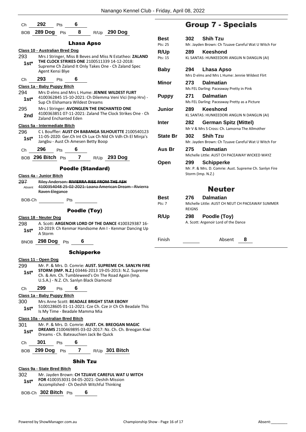| Ch             | <b>292</b> Pts                                             |                                                                                                      | 6                       |                  |                                                                                                                       |
|----------------|------------------------------------------------------------|------------------------------------------------------------------------------------------------------|-------------------------|------------------|-----------------------------------------------------------------------------------------------------------------------|
|                | BOB 289 Dog Pts                                            |                                                                                                      | $\overline{\mathbf{8}}$ | R/Up 290 Dog     |                                                                                                                       |
|                |                                                            |                                                                                                      | Lhasa Apso              |                  | В                                                                                                                     |
| 293<br>$1st^*$ | <u> Class 10 - Australian Bred Dog</u><br>Agent Kensi Blye | THE CLOCK STRIKES ONE 2100511339 14-12-2018:<br>Supreme Ch Zaland It Only Takes One - Ch Zaland Spec |                         |                  | P<br>R<br>Mrs J Stringer, Miss B Beves and Miss N Estatheo: ZALAND<br>P<br>В                                          |
| Ch             | 293                                                        | Pts $\overline{6}$                                                                                   |                         |                  |                                                                                                                       |
|                | Class 1a - Baby Puppy Bitch                                |                                                                                                      |                         |                  | N                                                                                                                     |
| 294<br>$1st*$  |                                                            | Mrs D elms and Mrs L Hume: JENNIE WILDEST FLIRT<br>Sup Ch Elshamara Wildest Dreams                   |                         |                  | Ρ<br>4100362845 15-10-2021: Ch Dilemma Veni Vici (Imp Hrv) -                                                          |
| 295<br>2nd     |                                                            | Mrs J Stringer: AVONGLEN THE ENCHANTED ONE<br><b>Zaland Enchanted Eden</b>                           |                         |                  | J<br>4100363851 07-11-2021: Zaland The Clock Strikes One - Ch<br>Ir                                                   |
|                | Class 5a - Intermediate Bitch                              |                                                                                                      |                         |                  |                                                                                                                       |
| 296<br>$1st^*$ |                                                            | Jangbu - Aust Ch Amesen Betty Boop                                                                   |                         |                  | C L Bouffler: AUST CH BABANGA SILHOUETTE 2100540123<br>S<br>11-05-2020: Ger.Ch Int Ch Lux Ch Nld Ch Vdh Ch El Minja's |
| Ch             | 296                                                        | <b>Pts</b>                                                                                           | 6                       |                  | Α                                                                                                                     |
|                | BOB 296 Bitch Pts 7 R/Up 293 Dog                           |                                                                                                      |                         |                  | C                                                                                                                     |
|                |                                                            | <b>Poodle (Standard)</b>                                                                             |                         |                  |                                                                                                                       |
|                | Class 4a - Junior Bitch                                    |                                                                                                      |                         |                  |                                                                                                                       |
| 297<br>Absent  | Raven Elegance                                             | Riley Anderson: RIVIERRA RISE FROM THE ASH                                                           |                         |                  | 4100354048 25-02-2021: Loana American Dream - Rivierra                                                                |
| BOB-Ch         |                                                            | Pts                                                                                                  |                         |                  | В                                                                                                                     |
|                |                                                            |                                                                                                      |                         |                  | P۱                                                                                                                    |
|                |                                                            |                                                                                                      |                         |                  |                                                                                                                       |
|                | Class 18 - Neuter Dog                                      |                                                                                                      | Poodle (Toy)            |                  | R                                                                                                                     |
| 298<br>$1st*$  | A Storm                                                    |                                                                                                      |                         |                  | A. Scott: ARGENOIR LORD OF THE DANCE 4100329387 16-<br>10-2019: Ch Kenmar Handsome Am I - Kenmar Dancing Up           |
|                | BNOB 298 Dog Pts                                           |                                                                                                      | 6                       |                  | Fi                                                                                                                    |
|                |                                                            |                                                                                                      | <b>Schipperke</b>       |                  |                                                                                                                       |
| 299<br>1st*    | <u>Class 11 - Open Dog</u>                                 | Ch. & Am. Ch. Tumbleweed's On The Road Again (Imp.<br>U.S.A.) - N.Z. Ch. Sanlyn Black Diamond        |                         |                  | Mr. P. & Mrs. D. Comrie: AUST. SUPREME CH. SANLYN FIRE<br>STORM (IMP. N.Z.) 03446-2013 19-05-2013: N.Z. Supreme       |
| Ch             | 299                                                        | <b>Pts</b>                                                                                           | 6                       |                  |                                                                                                                       |
|                | Class 1a - Baby Puppy Bitch                                |                                                                                                      |                         |                  |                                                                                                                       |
| 300.<br>$1st*$ |                                                            | Mrs Anne Scott: BEADALE BRIGHT STAR EBONY<br>Is My Time - Beadale Mamma Mia                          |                         |                  | 5100128605 01-11-2021: Cze Ch. Cze Jr Ch Ch Beadale This                                                              |
| 301<br>1st*    | Class 10a - Australian Bred Bitch                          | Mr. P. & Mrs. D. Comrie: AUST. CH. BREOGAN MAGIC<br>Dreams - Ch. Bateauchien Jack Be Quick           |                         |                  | DREAMS 2100469895 03-02-2017: Nz. Ch. Ch. Breogan Kiwi                                                                |
| Ch             | 301                                                        | Pts                                                                                                  | 6                       |                  |                                                                                                                       |
|                | <b>BOB</b> 299 Dog                                         | Pts                                                                                                  | $\overline{\mathbf{7}}$ | $R/Up$ 301 Bitch |                                                                                                                       |
|                |                                                            |                                                                                                      | <b>Shih Tzu</b>         |                  |                                                                                                                       |

BOB-Ch **302 Bitch** Pts **6**

# Group 7 - Specials

| <b>Best</b>     | <b>Shih Tzu</b><br>302                                                               |
|-----------------|--------------------------------------------------------------------------------------|
| Pts: 25         | Mr. Jayden Brown: Ch Tzuave Careful Wat U Witch For                                  |
| R/Up            | <b>Keeshond</b><br>289                                                               |
| Pts: 15         | KL SANTAS: HUNKEEDORI ANGLIN N DANGLIN (AI)                                          |
|                 |                                                                                      |
| <b>Baby</b>     | 294<br>Lhasa Apso<br>Mrs D elms and Mrs L Hume: Jennie Wildest Flirt                 |
|                 |                                                                                      |
| Minor           | 273<br><b>Dalmatian</b>                                                              |
|                 | Ms FEL Darling: Paceaway Pretty in Pink                                              |
| <b>Puppy</b>    | <b>Dalmatian</b><br>271                                                              |
|                 | Ms FEL Darling: Paceaway Pretty as a Picture                                         |
| Junior          | <b>Keeshond</b><br>289                                                               |
|                 | KL SANTAS: HUNKEEDORI ANGLIN N DANGLIN (AI)                                          |
| <b>Inter</b>    | 282<br><b>German Spitz (Mittel)</b><br>Mr V & Mrs S Cross: Ch. Lamorna The Allmother |
|                 |                                                                                      |
| <b>State Br</b> | <b>Shih Tzu</b><br>302                                                               |
|                 | Mr. Jayden Brown: Ch Tzuave Careful Wat U Witch For                                  |
| Aus Br          | 275<br><b>Dalmatian</b><br>Michelle Little: AUST CH PACEAWAY WICKED WAYZ             |
|                 |                                                                                      |
| Open            | <b>Schipperke</b><br>299<br>Mr. P. & Mrs. D. Comrie: Aust. Supreme Ch. Sanlyn Fire   |
|                 | Storm (Imp. N.Z.)                                                                    |
|                 |                                                                                      |
|                 | <b>Neuter</b>                                                                        |
|                 |                                                                                      |
| <b>Best</b>     | <b>Dalmatian</b><br>276                                                              |
| Pts: 7          | Michelle Little: AUST CH NEUT CH PACEAWAY SUMMER<br><b>REIGNS</b>                    |
| R/Up            | 298<br>Poodle (Toy)                                                                  |
|                 | A. Scott: Argenoir Lord of the Dance                                                 |
|                 |                                                                                      |
| Finish          | Absent<br>8                                                                          |
|                 |                                                                                      |